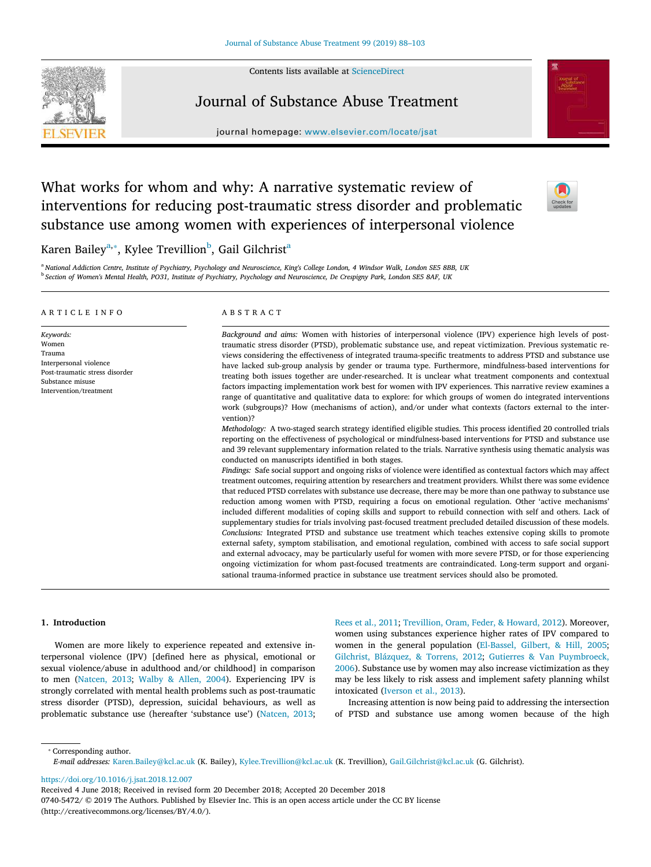Contents lists available at [ScienceDirect](http://www.sciencedirect.com/science/journal/07405472)



# Journal of Substance Abuse Treatment

journal homepage: [www.elsevier.com/locate/jsat](https://www.elsevier.com/locate/jsat)



# What works for whom and why: A narrative systematic review of interventions for reducing post-traumatic stress disorder and problematic substance use among women with experiences of interpersonal violence



K[a](#page-0-0)ren Bailey<sup>a,</sup>\*, Kylee Trevillion<sup>[b](#page-0-2)</sup>, Gail Gilchrist<sup>a</sup>

<span id="page-0-2"></span><span id="page-0-0"></span><sup>a</sup> *National Addiction Centre, Institute of Psychiatry, Psychology and Neuroscience, King's College London, 4 Windsor Walk, London SE5 8BB, UK* b *Section of Women's Mental Health, PO31, Institute of Psychiatry, Psychology and Neuroscience, De Crespigny Park, London SE5 8AF, UK*

#### ARTICLE INFO

Interpersonal violence Post-traumatic stress disorder Substance misuse Intervention/treatment

*Keywords:* Women Trauma

ABSTRACT

*Background and aims:* Women with histories of interpersonal violence (IPV) experience high levels of posttraumatic stress disorder (PTSD), problematic substance use, and repeat victimization. Previous systematic reviews considering the effectiveness of integrated trauma-specific treatments to address PTSD and substance use have lacked sub-group analysis by gender or trauma type. Furthermore, mindfulness-based interventions for treating both issues together are under-researched. It is unclear what treatment components and contextual factors impacting implementation work best for women with IPV experiences. This narrative review examines a range of quantitative and qualitative data to explore: for which groups of women do integrated interventions work (subgroups)? How (mechanisms of action), and/or under what contexts (factors external to the intervention)?

*Methodology:* A two-staged search strategy identified eligible studies. This process identified 20 controlled trials reporting on the effectiveness of psychological or mindfulness-based interventions for PTSD and substance use and 39 relevant supplementary information related to the trials. Narrative synthesis using thematic analysis was conducted on manuscripts identified in both stages.

*Findings:* Safe social support and ongoing risks of violence were identified as contextual factors which may affect treatment outcomes, requiring attention by researchers and treatment providers. Whilst there was some evidence that reduced PTSD correlates with substance use decrease, there may be more than one pathway to substance use reduction among women with PTSD, requiring a focus on emotional regulation. Other 'active mechanisms' included different modalities of coping skills and support to rebuild connection with self and others. Lack of supplementary studies for trials involving past-focused treatment precluded detailed discussion of these models. *Conclusions:* Integrated PTSD and substance use treatment which teaches extensive coping skills to promote external safety, symptom stabilisation, and emotional regulation, combined with access to safe social support and external advocacy, may be particularly useful for women with more severe PTSD, or for those experiencing ongoing victimization for whom past-focused treatments are contraindicated. Long-term support and organisational trauma-informed practice in substance use treatment services should also be promoted.

# **1. Introduction**

Women are more likely to experience repeated and extensive interpersonal violence (IPV) [defined here as physical, emotional or sexual violence/abuse in adulthood and/or childhood] in comparison to men [\(Natcen, 2013;](#page-14-0) [Walby & Allen, 2004\)](#page-15-0). Experiencing IPV is strongly correlated with mental health problems such as post-traumatic stress disorder (PTSD), depression, suicidal behaviours, as well as problematic substance use (hereafter 'substance use')([Natcen, 2013](#page-14-0);

[Rees et al., 2011;](#page-14-1) [Trevillion, Oram, Feder, & Howard, 2012](#page-15-1)). Moreover, women using substances experience higher rates of IPV compared to women in the general population [\(El-Bassel, Gilbert, & Hill, 2005](#page-13-0); [Gilchrist, Blázquez, & Torrens, 2012](#page-13-1); [Gutierres & Van Puymbroeck,](#page-13-2) [2006\)](#page-13-2). Substance use by women may also increase victimization as they may be less likely to risk assess and implement safety planning whilst intoxicated([Iverson et al., 2013\)](#page-14-2).

Increasing attention is now being paid to addressing the intersection of PTSD and substance use among women because of the high

<span id="page-0-1"></span>⁎ Corresponding author.

<https://doi.org/10.1016/j.jsat.2018.12.007>

Received 4 June 2018; Received in revised form 20 December 2018; Accepted 20 December 2018 0740-5472/ © 2019 The Authors. Published by Elsevier Inc. This is an open access article under the CC BY license (http://creativecommons.org/licenses/BY/4.0/).

*E-mail addresses:* [Karen.Bailey@kcl.ac.uk](mailto:Karen.Bailey@kcl.ac.uk) (K. Bailey), [Kylee.Trevillion@kcl.ac.uk](mailto:Kylee.Trevillion@kcl.ac.uk) (K. Trevillion), [Gail.Gilchrist@kcl.ac.uk](mailto:Gail.Gilchrist@kcl.ac.uk) (G. Gilchrist).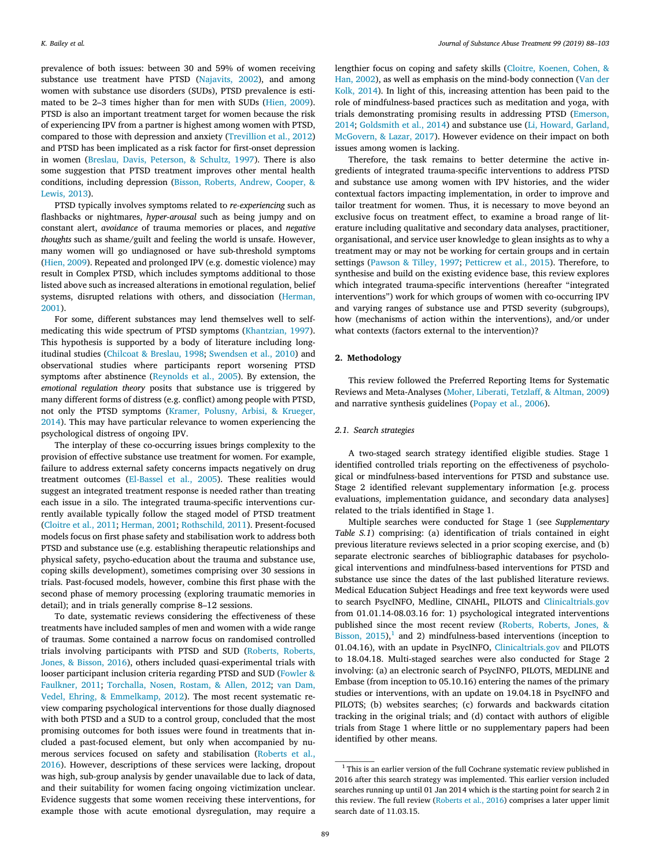prevalence of both issues: between 30 and 59% of women receiving substance use treatment have PTSD [\(Najavits, 2002](#page-14-3)), and among women with substance use disorders (SUDs), PTSD prevalence is estimated to be 2–3 times higher than for men with SUDs [\(Hien, 2009](#page-13-3)). PTSD is also an important treatment target for women because the risk of experiencing IPV from a partner is highest among women with PTSD, compared to those with depression and anxiety [\(Trevillion et al., 2012\)](#page-15-1) and PTSD has been implicated as a risk factor for first-onset depression in women([Breslau, Davis, Peterson, & Schultz, 1997\)](#page-13-4). There is also some suggestion that PTSD treatment improves other mental health conditions, including depression([Bisson, Roberts, Andrew, Cooper, &](#page-13-5) [Lewis, 2013](#page-13-5)).

PTSD typically involves symptoms related to *re-experiencing* such as flashbacks or nightmares, *hyper-arousal* such as being jumpy and on constant alert, *avoidance* of trauma memories or places, and *negative thoughts* such as shame/guilt and feeling the world is unsafe. However, many women will go undiagnosed or have sub-threshold symptoms ([Hien, 2009](#page-13-3)). Repeated and prolonged IPV (e.g. domestic violence) may result in Complex PTSD, which includes symptoms additional to those listed above such as increased alterations in emotional regulation, belief systems, disrupted relations with others, and dissociation [\(Herman,](#page-13-6) [2001\)](#page-13-6).

For some, different substances may lend themselves well to selfmedicating this wide spectrum of PTSD symptoms([Khantzian, 1997](#page-14-4)). This hypothesis is supported by a body of literature including longitudinal studies([Chilcoat & Breslau, 1998;](#page-13-7) [Swendsen et al., 2010\)](#page-15-2) and observational studies where participants report worsening PTSD symptoms after abstinence([Reynolds et al., 2005](#page-14-5)). By extension, the *emotional regulation theory* posits that substance use is triggered by many different forms of distress (e.g. conflict) among people with PTSD, not only the PTSD symptoms([Kramer, Polusny, Arbisi, & Krueger,](#page-14-6) [2014\)](#page-14-6). This may have particular relevance to women experiencing the psychological distress of ongoing IPV.

The interplay of these co-occurring issues brings complexity to the provision of effective substance use treatment for women. For example, failure to address external safety concerns impacts negatively on drug treatment outcomes [\(El-Bassel et al., 2005\)](#page-13-0). These realities would suggest an integrated treatment response is needed rather than treating each issue in a silo. The integrated trauma-specific interventions currently available typically follow the staged model of PTSD treatment ([Cloitre et al., 2011;](#page-13-8) [Herman, 2001;](#page-13-6) [Rothschild, 2011](#page-15-3)). Present-focused models focus on first phase safety and stabilisation work to address both PTSD and substance use (e.g. establishing therapeutic relationships and physical safety, psycho-education about the trauma and substance use, coping skills development), sometimes comprising over 30 sessions in trials. Past-focused models, however, combine this first phase with the second phase of memory processing (exploring traumatic memories in detail); and in trials generally comprise 8–12 sessions.

To date, systematic reviews considering the effectiveness of these treatments have included samples of men and women with a wide range of traumas. Some contained a narrow focus on randomised controlled trials involving participants with PTSD and SUD [\(Roberts, Roberts,](#page-15-4) [Jones, & Bisson, 2016](#page-15-4)), others included quasi-experimental trials with looser participant inclusion criteria regarding PTSD and SUD([Fowler &](#page-13-9) [Faulkner, 2011](#page-13-9); [Torchalla, Nosen, Rostam, & Allen, 2012](#page-15-5); [van Dam,](#page-15-6) [Vedel, Ehring, & Emmelkamp, 2012](#page-15-6)). The most recent systematic review comparing psychological interventions for those dually diagnosed with both PTSD and a SUD to a control group, concluded that the most promising outcomes for both issues were found in treatments that included a past-focused element, but only when accompanied by numerous services focused on safety and stabilisation([Roberts et al.,](#page-15-4) [2016\)](#page-15-4). However, descriptions of these services were lacking, dropout was high, sub-group analysis by gender unavailable due to lack of data, and their suitability for women facing ongoing victimization unclear. Evidence suggests that some women receiving these interventions, for example those with acute emotional dysregulation, may require a

lengthier focus on coping and safety skills [\(Cloitre, Koenen, Cohen, &](#page-13-10) [Han, 2002](#page-13-10)), as well as emphasis on the mind-body connection [\(Van der](#page-15-7) [Kolk, 2014\)](#page-15-7). In light of this, increasing attention has been paid to the role of mindfulness-based practices such as meditation and yoga, with trials demonstrating promising results in addressing PTSD([Emerson,](#page-13-11) [2014;](#page-13-11) [Goldsmith et al., 2014](#page-13-12)) and substance use [\(Li, Howard, Garland,](#page-14-7) [McGovern, & Lazar, 2017\)](#page-14-7). However evidence on their impact on both issues among women is lacking.

Therefore, the task remains to better determine the active ingredients of integrated trauma-specific interventions to address PTSD and substance use among women with IPV histories, and the wider contextual factors impacting implementation, in order to improve and tailor treatment for women. Thus, it is necessary to move beyond an exclusive focus on treatment effect, to examine a broad range of literature including qualitative and secondary data analyses, practitioner, organisational, and service user knowledge to glean insights as to why a treatment may or may not be working for certain groups and in certain settings [\(Pawson & Tilley, 1997;](#page-14-8) [Petticrew et al., 2015](#page-14-9)). Therefore, to synthesise and build on the existing evidence base, this review explores which integrated trauma-specific interventions (hereafter "integrated interventions") work for which groups of women with co-occurring IPV and varying ranges of substance use and PTSD severity (subgroups), how (mechanisms of action within the interventions), and/or under what contexts (factors external to the intervention)?

# **2. Methodology**

This review followed the Preferred Reporting Items for Systematic Reviews and Meta-Analyses [\(Moher, Liberati, Tetzlaff, & Altman, 2009\)](#page-14-10) and narrative synthesis guidelines [\(Popay et al., 2006](#page-14-11)).

#### *2.1. Search strategies*

A two-staged search strategy identified eligible studies. Stage 1 identified controlled trials reporting on the effectiveness of psychological or mindfulness-based interventions for PTSD and substance use. Stage 2 identified relevant supplementary information [e.g. process evaluations, implementation guidance, and secondary data analyses] related to the trials identified in Stage 1.

Multiple searches were conducted for Stage 1 (see *Supplementary Table S.1*) comprising: (a) identification of trials contained in eight previous literature reviews selected in a prior scoping exercise, and (b) separate electronic searches of bibliographic databases for psychological interventions and mindfulness-based interventions for PTSD and substance use since the dates of the last published literature reviews. Medical Education Subject Headings and free text keywords were used to search PsycINFO, Medline, CINAHL, PILOTS and [Clinicaltrials.gov](http://Clinicaltrials.gov) from 01.01.14-08.03.16 for: 1) psychological integrated interventions published since the most recent review([Roberts, Roberts, Jones, &](#page-15-8) Bisson,  $2015$  $2015$  $2015$ ,<sup>1</sup> and 2) mindfulness-based interventions (inception to 01.04.16), with an update in PsycINFO, [Clinicaltrials.gov](http://Clinicaltrials.gov) and PILOTS to 18.04.18. Multi-staged searches were also conducted for Stage 2 involving: (a) an electronic search of PsycINFO, PILOTS, MEDLINE and Embase (from inception to 05.10.16) entering the names of the primary studies or interventions, with an update on 19.04.18 in PsycINFO and PILOTS; (b) websites searches; (c) forwards and backwards citation tracking in the original trials; and (d) contact with authors of eligible trials from Stage 1 where little or no supplementary papers had been identified by other means.

<span id="page-1-0"></span><sup>&</sup>lt;sup>1</sup> This is an earlier version of the full Cochrane systematic review published in 2016 after this search strategy was implemented. This earlier version included searches running up until 01 Jan 2014 which is the starting point for search 2 in this review. The full review([Roberts et al., 2016](#page-15-4)) comprises a later upper limit search date of 11.03.15.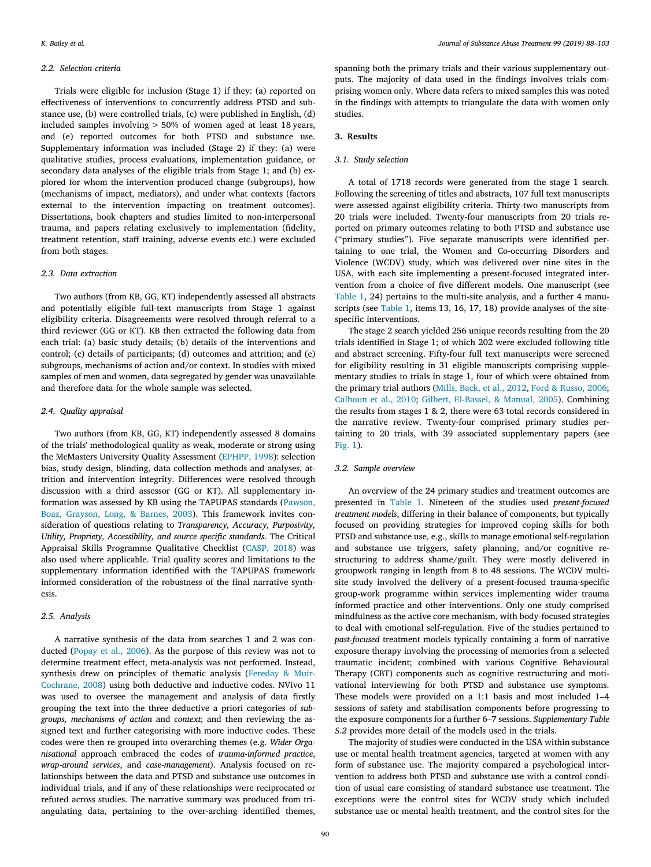#### *2.2. Selection criteria*

Trials were eligible for inclusion (Stage 1) if they: (a) reported on effectiveness of interventions to concurrently address PTSD and substance use, (b) were controlled trials, (c) were published in English, (d) included samples involving > 50% of women aged at least 18 years, and (e) reported outcomes for both PTSD and substance use. Supplementary information was included (Stage 2) if they: (a) were qualitative studies, process evaluations, implementation guidance, or secondary data analyses of the eligible trials from Stage 1; and (b) explored for whom the intervention produced change (subgroups), how (mechanisms of impact, mediators), and under what contexts (factors external to the intervention impacting on treatment outcomes). Dissertations, book chapters and studies limited to non-interpersonal trauma, and papers relating exclusively to implementation (fidelity, treatment retention, staff training, adverse events etc.) were excluded from both stages.

#### *2.3. Data extraction*

Two authors (from KB, GG, KT) independently assessed all abstracts and potentially eligible full-text manuscripts from Stage 1 against eligibility criteria. Disagreements were resolved through referral to a third reviewer (GG or KT). KB then extracted the following data from each trial: (a) basic study details; (b) details of the interventions and control; (c) details of participants; (d) outcomes and attrition; and (e) subgroups, mechanisms of action and/or context. In studies with mixed samples of men and women, data segregated by gender was unavailable and therefore data for the whole sample was selected.

# *2.4. Quality appraisal*

Two authors (from KB, GG, KT) independently assessed 8 domains of the trials' methodological quality as weak, moderate or strong using the McMasters University Quality Assessment [\(EPHPP, 1998](#page-13-13)): selection bias, study design, blinding, data collection methods and analyses, attrition and intervention integrity. Differences were resolved through discussion with a third assessor (GG or KT). All supplementary information was assessed by KB using the TAPUPAS standards [\(Pawson,](#page-14-12) [Boaz, Grayson, Long, & Barnes, 2003](#page-14-12)). This framework invites consideration of questions relating to *Transparency, Accuracy, Purposivity, Utility, Propriety, Accessibility, and source specific standards*. The Critical Appraisal Skills Programme Qualitative Checklist([CASP, 2018](#page-15-9)) was also used where applicable. Trial quality scores and limitations to the supplementary information identified with the TAPUPAS framework informed consideration of the robustness of the final narrative synthesis.

#### *2.5. Analysis*

A narrative synthesis of the data from searches 1 and 2 was conducted [\(Popay et al., 2006](#page-14-11)). As the purpose of this review was not to determine treatment effect, meta-analysis was not performed. Instead, synthesis drew on principles of thematic analysis [\(Fereday & Muir-](#page-13-14)[Cochrane, 2008\)](#page-13-14) using both deductive and inductive codes. NVivo 11 was used to oversee the management and analysis of data firstly grouping the text into the three deductive a priori categories of *subgroups, mechanisms of action* and *context*; and then reviewing the assigned text and further categorising with more inductive codes. These codes were then re-grouped into overarching themes (e.g. *Wider Organisational* approach embraced the codes of *trauma-informed practice*, *wrap-around services*, and *case-management*). Analysis focused on relationships between the data and PTSD and substance use outcomes in individual trials, and if any of these relationships were reciprocated or refuted across studies. The narrative summary was produced from triangulating data, pertaining to the over-arching identified themes,

spanning both the primary trials and their various supplementary outputs. The majority of data used in the findings involves trials comprising women only. Where data refers to mixed samples this was noted in the findings with attempts to triangulate the data with women only studies.

# **3. Results**

#### *3.1. Study selection*

A total of 1718 records were generated from the stage 1 search. Following the screening of titles and abstracts, 107 full text manuscripts were assessed against eligibility criteria. Thirty-two manuscripts from 20 trials were included. Twenty-four manuscripts from 20 trials reported on primary outcomes relating to both PTSD and substance use ("primary studies"). Five separate manuscripts were identified pertaining to one trial, the Women and Co-occurring Disorders and Violence (WCDV) study, which was delivered over nine sites in the USA, with each site implementing a present-focused integrated intervention from a choice of five different models. One manuscript (see [Table 1](#page-3-0), 24) pertains to the multi-site analysis, and a further 4 manuscripts (see [Table 1](#page-3-0), items 13, 16, 17, 18) provide analyses of the sitespecific interventions.

The stage 2 search yielded 256 unique records resulting from the 20 trials identified in Stage 1; of which 202 were excluded following title and abstract screening. Fifty-four full text manuscripts were screened for eligibility resulting in 31 eligible manuscripts comprising supplementary studies to trials in stage 1, four of which were obtained from the primary trial authors([Mills, Back, et al., 2012,](#page-14-13) [Ford & Russo, 2006](#page-13-15); [Calhoun et al., 2010;](#page-13-16) [Gilbert, El-Bassel, & Manual, 2005\)](#page-13-17). Combining the results from stages 1 & 2, there were 63 total records considered in the narrative review. Twenty-four comprised primary studies pertaining to 20 trials, with 39 associated supplementary papers (see [Fig. 1\)](#page-8-0).

### *3.2. Sample overview*

An overview of the 24 primary studies and treatment outcomes are presented in [Table 1.](#page-3-0) Nineteen of the studies used *present-focused treatment models*, differing in their balance of components, but typically focused on providing strategies for improved coping skills for both PTSD and substance use, e.g., skills to manage emotional self-regulation and substance use triggers, safety planning, and/or cognitive restructuring to address shame/guilt. They were mostly delivered in groupwork ranging in length from 8 to 48 sessions. The WCDV multisite study involved the delivery of a present-focused trauma-specific group-work programme within services implementing wider trauma informed practice and other interventions. Only one study comprised mindfulness as the active core mechanism, with body-focused strategies to deal with emotional self-regulation. Five of the studies pertained to *past-focused* treatment models typically containing a form of narrative exposure therapy involving the processing of memories from a selected traumatic incident; combined with various Cognitive Behavioural Therapy (CBT) components such as cognitive restructuring and motivational interviewing for both PTSD and substance use symptoms. These models were provided on a 1:1 basis and most included 1–4 sessions of safety and stabilisation components before progressing to the exposure components for a further 6–7 sessions. *Supplementary Table S.2* provides more detail of the models used in the trials.

The majority of studies were conducted in the USA within substance use or mental health treatment agencies, targeted at women with any form of substance use. The majority compared a psychological intervention to address both PTSD and substance use with a control condition of usual care consisting of standard substance use treatment. The exceptions were the control sites for WCDV study which included substance use or mental health treatment, and the control sites for the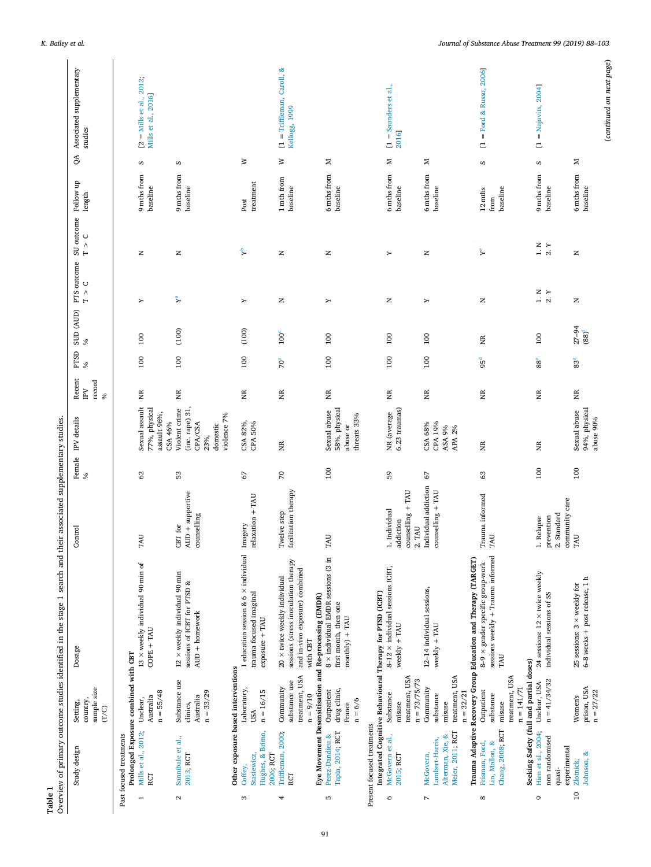<span id="page-3-0"></span>

|                   | Study design                                                         | sample size<br>country,<br>Setting,<br>(T/C)                                 | Dosage                                                                                                                                                                      | Control                                                   |            | Female IPV details $\%$                                                       | Recent<br>IPV<br>record<br>$\%$ | PTSD<br>S,      | SUD (AUD)<br>$\%$       | PTS outcome<br>$\circ$<br>$\stackrel{\wedge}{\vdash}$ | SU outcome<br>$T > C$ | Follow up<br>length         | QA | Associated supplementary<br>studies               |
|-------------------|----------------------------------------------------------------------|------------------------------------------------------------------------------|-----------------------------------------------------------------------------------------------------------------------------------------------------------------------------|-----------------------------------------------------------|------------|-------------------------------------------------------------------------------|---------------------------------|-----------------|-------------------------|-------------------------------------------------------|-----------------------|-----------------------------|----|---------------------------------------------------|
| $\overline{ }$    | Mills et al., 2012;<br>Past focused treatments<br>RCT                | Prolonged Exposure combined with CBT<br>$n = 55/48$<br>Australia<br>Unclear, | $13 \times$ weekly individual 90 min of<br>$COPE + TAU$                                                                                                                     | TAU                                                       | 62         | Sexual assault<br>77%, physical<br>assault 96%,<br>CSA 46%                    | E                               | 100             | 100                     | Υ                                                     | z                     | 9 mths from<br>baseline     | S  | $[2 =$ Mills et al., 2012;<br>Mills et al., 2016] |
| $\mathbf{\Omega}$ | Sannibale et al.,<br>2013; RCT                                       | Substance use<br>$n = 33/29$<br>Australia<br>clinics,                        | $12 \times$ weekly individual 90 min<br>sessions of ICBT for PTSD &<br>$AUD + homework$                                                                                     | $AUD + supportive$<br>counselling<br>CBT for              | 53         | Violent crime<br>(inc. rape) 31<br>violence 7%<br>CPA/CSA<br>domestic<br>23%, | E                               | 100             | (100)                   | $\mathbf{r}^{\mathbf{a}}$                             | z                     | 9 mths from<br>baseline     | S  |                                                   |
| S                 | Hughes, & Brimo,<br>Stasiewicz,<br>2006; RCT<br>Coffey,              | Other exposure based interventions<br>Laboratory,<br>$n = 16/15$<br>USA      | 1 education session & 6 $\times$ individual<br>trauma focused imaginal<br>$\exp\!{\rm oscure} + {\rm TAU}$                                                                  | relaxation + TAU<br>Imagery                               | 67         | CSA 82%,<br>CPA 50%                                                           | E                               | 100             | (100)                   | Υ                                                     | ቱ                     | treatment<br>Post           | ≥  |                                                   |
| 4                 | Triffleman, 2000;<br>RCT                                             | treatment, USA<br>substance use<br>Community<br>$n = 9/10$                   | sessions (stress inoculation therapy<br>and in-vivo exposure) combined<br>20 × twice weekly individual<br>Eye Movement Desensitisation and Re-processing (EMDR)<br>with CBT | facilitation therapy<br>Twelve step                       | $\sqrt{2}$ | Ĕ                                                                             | Ĕ                               | $70^{2}$        | 100 <sup>c</sup>        | z                                                     | $\mathsf{z}$          | 1 mth from<br>baseline      | ₹  | $[1 = Triffleman, Caroll, &$<br>Kellogg, 1999     |
| S                 | Tapia, 2014; RCT<br>Perez-Dandieu &                                  | drug clinic,<br>Outpatient<br>$n = 6/6$<br>France                            | 8 × individual EMDR sessions (3 in<br>first month, then one<br>$\mathrm{month}(y) + \mathrm{TAU}$                                                                           | TAU                                                       | 100        | 58%, physical<br>Sexual abuse<br>threats 33%<br>abuse or                      | E                               | 100             | 100                     | Υ                                                     | z                     | 6 mths from<br>baseline     | ×  |                                                   |
| $\circ$           | Present focused treatments<br>McGovern et al.,<br>2015; RCT          | treatment, USA<br>$n = 73/75/73$<br>Substance<br>misuse                      | $8-12 \times$ individual sessions ICBT,<br>Integrated Cognitive Behavioural Therapy for PTSD (ICBT)<br>$weakly + TAU$                                                       | $comseling + TAU$<br>1. Individual<br>addiction<br>2. TAU | 59         | 6.23 traumas)<br>NR (average                                                  | E                               | 100             | 100                     | z                                                     | Υ                     | 6 mths from<br>baseline     | Σ  | $1 =$ Saunders et al.,<br>2016]                   |
| $\overline{ }$    | Meier, 2011; RCT<br>Alterman, Xie, &<br>Lambert-Harris,<br>McGovern, | treatment, USA<br>Community<br>$n = 32/21$<br>substance<br>misuse            | 12-14 individual sessions,<br>${\sf weekly+TAU}$                                                                                                                            | Individual addiction<br>${\rm comeselling} + {\rm TAU}$   | 67         | CSA 68%<br>CPA 19%<br>ASA 9%<br>APA 2%                                        | Ĕ                               | 100             | 100                     | Υ                                                     | z                     | 6 mths from<br>baseline     | z  |                                                   |
| ${}^{\circ}$      | Chang, 2008; RCT<br>Frisman, Ford,<br>Lin, Mallon, &                 | treatment, USA<br>$n = 141/71$<br>Outpatient<br>substance<br>misuse          | sessions weekly + Trauma informed<br>Trauma Adaptive Recovery Group Education and Therapy (TARGET)<br>8-9 $\times$ gender specific group-work<br>TAU                        | Irauma informed<br>TAU                                    | 63         | ã                                                                             | Ĕ                               | 95 <sup>d</sup> | XR                      | z                                                     | ኑ                     | baseline<br>12 mths<br>from | S  | $=$ Ford & Russo, 2006]<br>Ξ                      |
| G                 | Hien et al., 2004;<br>non randomised<br>quasi-                       | Seeking Safety (full and partial doses)<br>$n = 41/34/32$<br>Unclear, USA    | 24 sessions: 12 × twice weekly<br>individual sessions of SS                                                                                                                 | 2. Standard<br>prevention<br>1. Relapse                   | 100        | E                                                                             | ã                               | $88\,$          | 100                     | $\frac{1}{2}$ Y                                       | $1. N$ Y 2. Y         | 9 mths from<br>baseline     | S  | $=$ Najavits, 2004]<br>Ξ                          |
| $\overline{10}$   | experimental<br>Johnson, &<br>Zlotnick,                              | prison, USA<br>$n = 27/22$<br>Women's                                        | 6-8 weeks + post release, 1 h<br>25 sessions: $3 \times$ weekly for                                                                                                         | community care<br>TAU                                     | 100        | 94%, physical<br>Sexual abuse<br>abuse 90%                                    | Ĕ                               | 83 <sup>z</sup> | $27 - 94$<br>$(88)^{f}$ | z                                                     | z                     | 6 mths from<br>baseline     | ×  |                                                   |

*K. Bailey et al. Journal of Substance Abuse Treatment 99 (2019) 88–103*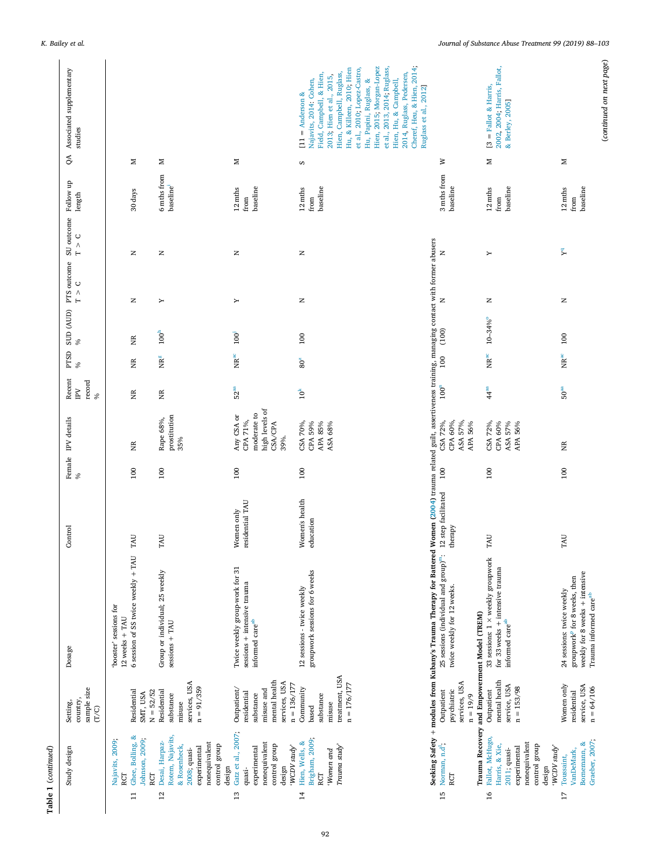|                 | Table 1 (continued)                                                                                                            |                                                                                                          |                                                                                                                                                                                                                                                                                                       |                                |      |                                                                                   |                                                     |                     |                   |                                                |                           |                                       |    |                                                                                                                                                                                                                                                                                                                                                                        |
|-----------------|--------------------------------------------------------------------------------------------------------------------------------|----------------------------------------------------------------------------------------------------------|-------------------------------------------------------------------------------------------------------------------------------------------------------------------------------------------------------------------------------------------------------------------------------------------------------|--------------------------------|------|-----------------------------------------------------------------------------------|-----------------------------------------------------|---------------------|-------------------|------------------------------------------------|---------------------------|---------------------------------------|----|------------------------------------------------------------------------------------------------------------------------------------------------------------------------------------------------------------------------------------------------------------------------------------------------------------------------------------------------------------------------|
|                 | Study design                                                                                                                   | sample size<br>country,<br>Setting,<br>(T/C)                                                             | Dosage                                                                                                                                                                                                                                                                                                | Control                        | $\%$ | Female IPV details                                                                | Recent<br>record<br>$\overline{\mathrm{P}}$<br>$\%$ | PTSD<br>S,          | SUD (AUD)<br>$\%$ | PTS outcome<br>$\frac{1}{2}$<br>$\blacksquare$ | SU outcome<br>$T~>~C$     | Follow up<br>$\mbox{length}$          | QA | Associated supplementary<br>studies                                                                                                                                                                                                                                                                                                                                    |
| $\Xi$           | Ghee, Bolling, &<br>Johnson, 2009;<br>Najavits, 2009;<br>RCT<br>RCT                                                            | $N = 52/52$<br>Residential<br>SMT, USA                                                                   | 6 session of SS twice weekly + TAU<br>'booster' sessions for<br>$12$ weeks + TAU                                                                                                                                                                                                                      | TAU                            | 100  | E                                                                                 | E                                                   | E                   | XR                | z                                              | z                         | 30 days                               | Z  |                                                                                                                                                                                                                                                                                                                                                                        |
| 12              | Rotem, Najavits,<br>Desai, Harpaz-<br>nonequivalent<br>control group<br>& Rosenheck,<br>experimental<br>2008; quasi-<br>design | services, USA<br>$n = 91/359$<br>Residential<br>substance<br>misuse                                      | Group or individual; 25 weekly<br>$s_{\text{e}}$ sessions + TAU                                                                                                                                                                                                                                       | TAU                            | 100  | prostitution<br>Rape 68%,<br>35%                                                  | E                                                   | $MR^8$              | $100^h$           | Υ                                              | z                         | 6 mths from<br>baseline <sup>1</sup>  | ×  |                                                                                                                                                                                                                                                                                                                                                                        |
| 13              | Gatz et al., 2007;<br>nonequivalent<br>control group<br>'WCDV study'<br>experimental<br>design<br>quasi-                       | mental health<br>services, USA<br>$n = 136/177$<br>Outpatient/<br>misuse and<br>residential<br>substance | Twice weekly group-work for 31<br>sessions + intensive trauma<br>informed care <sup>ab</sup>                                                                                                                                                                                                          | residential TAU<br>Women only  | 100  | high levels of<br>moderate to<br>Any CSA or<br>CPA 71%,<br><b>CSA/CPA</b><br>39%. | 52 <sup>aa</sup>                                    | $\rm{NR}^{\rm{ac}}$ | 100 <sup>j</sup>  | Υ                                              | z                         | baseline<br>12 mths<br>from           | Σ  |                                                                                                                                                                                                                                                                                                                                                                        |
| $\overline{1}$  | Brigham, 2009;<br>Hien, Wells, &<br>Trauma study<br>'Women and<br>RCT                                                          | treatment, USA<br>$n = 176/177$<br>Community<br>substance<br>misuse<br>based                             | groupwork sessions for 6 weeks<br>12 sessions - twice weekly                                                                                                                                                                                                                                          | Women's health<br>education    | 100  | CSA 70%,<br>CPA 59%<br>APA 85%<br>ASA 68%                                         | $10^{\mbox{\scriptsize k}}$                         | 80 <sup>z</sup>     | 100               | z                                              | Z                         | baseline<br>12 mths<br>from           | S  | Cheref, Heu, & Hien, 2014;<br>Hien, 2015; Morgan-Lopez<br>et al., 2010; Lopez-Castro,<br>et al., 2013, 2014; Ruglass,<br>Hu, & Killeen, 2010; Hien<br>Hien, Campbell, Ruglass,<br>Field, Campbell, & Hien,<br>2014, Ruglass, Pedersen,<br>2013, Hien et al., 2015,<br>Hu, Papini, Ruglass, &<br>Hien, Hu, & Campbell,<br>Najavits, 2014: Cohen,<br>$[11]$ = Anderson & |
| 15              | Norman, n.d <sup>1</sup> ;<br>RCT                                                                                              | services, USA<br>psychiatric<br>Outpatient<br>$n = 19/9$                                                 | Seeking Safety + modules from Kubany's Trauma Therapy for Battered Women (2004) trauma related guilt, assertiveness training, managing contact with former abusers<br>25 sessions (individual and group) <sup>m</sup> :<br>twice weekly for 12 weeks.<br>Trauma Recovery and Empowerment Model (TREM) | 12 step facilitated<br>therapy | 100  | CPA 60%,<br>CSA 72%,<br>ASA 57%,<br>APA 56%                                       | $100^n$                                             | 100                 | (100)             | $\simeq$                                       | $\mathsf{z}$              | 3 mths from<br>baseline               | ₹  | Ruglass et al., 2012]                                                                                                                                                                                                                                                                                                                                                  |
| $\overline{16}$ | Fallot, McHugo,<br>nonequivalent<br>Harris, & Xie,<br>control group<br>'WCDV study'<br>experimental<br>2011; quasi-<br>design  | mental health<br>service, USA<br>$n = 153/98$<br>Outpatient                                              | 33 sessions: 1 × weekly groupwork<br>for 33 weeks + intensive trauma<br>informed care $^{\rm ab}$                                                                                                                                                                                                     | TAU                            | 100  | CSA 72%,<br>CPA 60%<br>ASA 57%<br>APA 56%                                         | 44 <sup>aa</sup>                                    | $\rm{NR}^{\rm{ac}}$ | $10 - 34%$        | z                                              | Υ                         | baseline<br>$12 \text{ mths}$<br>from | Σ  | 2002, 2004; Harris, Fallot,<br>$[3 =$ Fallot & Harris,<br>& Berley, 2005]                                                                                                                                                                                                                                                                                              |
| 17              | Graeber, 2007;<br>Bornemann, &<br>VanDeMark,<br>Toussaint,                                                                     | Women only<br>service, USA<br>$n = 64/106$<br>residential                                                | weekly for 8 weeks + intensive<br>groupwork <sup>p</sup> for 8 weeks, then<br>24 sessions: twice weekly<br>Trauma informed care <sup>ab</sup>                                                                                                                                                         | TAU                            | 100  | Ĕ                                                                                 | ${\bf 50}^{\rm aa}$                                 | $\rm{NR}^{\rm{ac}}$ | 100               | $\, \geq$                                      | $\mathbf{Y}^{\mathbf{q}}$ | baseline<br>12 mths<br>${\rm from}$   | Σ  |                                                                                                                                                                                                                                                                                                                                                                        |

*K. Bailey et al. Journal of Substance Abuse Treatment 99 (2019) 88–103*

(*continued on next page*)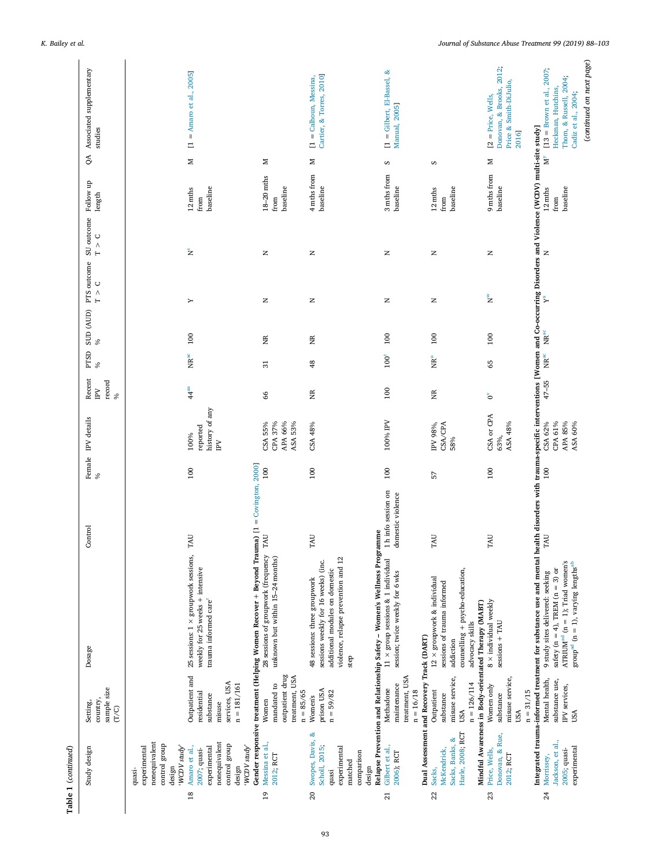| (continued on next page)<br>Donovan, & Brooks, 2012;<br>$[13 =$ Brown et al., $2007$ ;<br>Associated supplementary<br>$[1 =$ Gilbert, El-Bassel, &<br>$=$ Amaro et al., 2005]<br>Cartier, & Torres, 2010]<br>[1 = Calhoun, Messina,<br>Thom, & Russell, 2004;<br>Price & Smith-DiJulio,<br>Heckman, Hutchins,<br>Cadiz et al., 2004;<br>$[2 = Price, Wells,$<br>Manual, 2005]<br>Integrated trauma-informed treatment for substance use and mental health disorders with trauma-specific interventions [Women and Co-occurring Disorders and Violence (WCDV) multi-site study]<br>studies<br>2016]<br>$\equiv$<br>QA<br>$\mathbf{N}^{\mathbf{y}}$<br>z<br>z<br>Z<br>Z<br>S<br>S<br>9 mths from<br>4 mths from<br>3 mths from<br>$18 - 20$ mths<br>baseline<br>baseline<br>baseline<br>baseline<br>baseline<br>baseline<br>baseline<br>$12 \mathrm{~mths}$<br>12 mths<br>12 mths<br>length<br>from<br>from<br>from<br>from<br>$T > C$<br>$\tilde{z}$<br>$\simeq$<br>z<br>z<br>z<br>$\simeq$<br>$\mathbb Z$<br>$\circ$<br>$\stackrel{\wedge}{\vdash}$<br>ž<br>ř<br>$\simeq$<br>Z<br>z<br>z<br>Υ<br>$\ensuremath{\mathsf{NR}}\xspace^\text{ac}$<br>100<br>100<br>100<br>100<br>XR<br>ΧR<br>$\%$<br>$\ensuremath{\mathbf{MR}^{\mathrm{ac}}}$<br>$\rm{NR}^{\rm{ac}}$<br>100 <sup>t</sup><br>$\overline{R}^u$<br>$\frac{8}{3}$<br>65<br>31<br>$\%$<br>Recent<br>record<br>$47 - 55$<br>$\mathbb{R}$<br>44 <sup>aa</sup><br><b>100</b><br>E<br>Ĕ<br>66<br>$\delta$<br>ò<br>history of any<br>CSA or CPA<br>Female IPV details<br>APA 66%<br>100% IPV<br>ASA 48%<br>CPA 61%<br>APA 85%<br>CSA 55%<br>CPA 37%<br>ASA 53%<br>CSA/CPA<br>CSA 62%<br>ASA 60%<br>CSA 48%<br>IPV 98%,<br>reported<br>100%<br>63%,<br>58%<br>$\sum_{i=1}^{n}$<br>Gender responsive treatment (Helping Women Recover + Beyond Trauma) $[1 = \text{Covington}, 2000]$<br>100<br>100<br>100<br>100<br>$\frac{100}{2}$<br>100<br>57<br>$\%$<br>1 h info session on<br>domestic violence<br>Relapse Prevention and Relationship Safety - Women's Wellness Programme<br>TAU<br>TAU<br>TAU<br>TAU<br>TAU<br>TAU<br>28 sessions of groupwork (frequency<br>25 sessions: $1 \times$ groupwork sessions,<br>unknown but within 15-24 months)<br>violence, relapse prevention and 12<br>$11 \times \text{group sessions}$ & 1 individual<br>sessions weekly for 16 weeks) (inc.<br>ATRIUM <sup>ad</sup> ( $n = 1$ ); Triad women's<br>$\text{group}^{\text{ad}}$ (n = 1), varying $\text{lengths}^{\text{ab}}$<br>weekly for 25 weeks + intensive<br>counselling + psycho-education,<br>additional modules on domestic<br>safety ( $n = 4$ ), TREM ( $n = 3$ ) or<br>session; twice weekly for 6 wks<br>9 study sites delivered: seeking<br>$12 \times$ groupwork & individual<br>48 sessions: three groupwork<br>sessions of trauma informed<br>trauma informed care <sup>r</sup><br>8 x individual weekly<br>Mindful Awareness in Body-orientated Therapy (MABT)<br>$s_{\text{e}}$ sessions + TAU<br>advocacy skills<br>Dual Assessment and Recovery Track (DART)<br>addiction<br>Dosage<br>step<br>outpatient drug<br>Outpatient and<br>treatment, USA<br>misuse service,<br>treatment, USA<br>Mental health,<br>misuse service,<br>substance use,<br>services, USA<br>$n = 126/114$<br>mandated to<br>Women only<br>$n = 181/161$<br>maintenance<br>IPV services,<br>sample size<br>Methadone<br>Outpatient<br>prison USA<br>$n = 31/15$<br>$n = 16/18$<br>residential<br>$n = 85/65$<br>$n = 59/82$<br>substance<br>substance<br>substance<br>Women's<br>Women<br>country<br>misuse<br>(T/C)<br>USA<br>USA<br>USA<br>Harle, 2008; RCT<br>Swopes, Davis, &<br>Donovan, & Rue,<br>Sacks, Banks, &<br>Jackson, et al.,<br>Messina et al.,<br>nonequivalent<br>nonequivalent<br>control group<br>control group<br>Scholl, 2015;<br>Gilbert et al.,<br>'WCDV study'<br>'WCDV study'<br>experimental<br>Amaro et al.,<br>experimental<br>experimental<br>experimental<br>McKendrick,<br>Study design<br>2007; quasi-<br>Price, Wells,<br>2005; quasi-<br>comparison<br>2006); RCT<br>2012; RCT<br>2012; RCT<br>Morrissey,<br>matched<br>design<br>design<br>design<br>Sacks,<br>quasi-<br>quasi | Table 1 (continued) |          |         |  |      |           |             |            |           |  |
|------------------------------------------------------------------------------------------------------------------------------------------------------------------------------------------------------------------------------------------------------------------------------------------------------------------------------------------------------------------------------------------------------------------------------------------------------------------------------------------------------------------------------------------------------------------------------------------------------------------------------------------------------------------------------------------------------------------------------------------------------------------------------------------------------------------------------------------------------------------------------------------------------------------------------------------------------------------------------------------------------------------------------------------------------------------------------------------------------------------------------------------------------------------------------------------------------------------------------------------------------------------------------------------------------------------------------------------------------------------------------------------------------------------------------------------------------------------------------------------------------------------------------------------------------------------------------------------------------------------------------------------------------------------------------------------------------------------------------------------------------------------------------------------------------------------------------------------------------------------------------------------------------------------------------------------------------------------------------------------------------------------------------------------------------------------------------------------------------------------------------------------------------------------------------------------------------------------------------------------------------------------------------------------------------------------------------------------------------------------------------------------------------------------------------------------------------------------------------------------------------------------------------------------------------------------------------------------------------------------------------------------------------------------------------------------------------------------------------------------------------------------------------------------------------------------------------------------------------------------------------------------------------------------------------------------------------------------------------------------------------------------------------------------------------------------------------------------------------------------------------------------------------------------------------------------------------------------------------------------------------------------------------------------------------------------------------------------------------------------------------------------------------------------------------------------------------------------------------------------------------------------------------------------------------------------------------------------------------------------------------------------------------------------------------------------------------------------------------------------------------------------------------------------------------------------------------------------------------------------------------------------------------------------------------------------------------------------------------------------------------------------------------------------------------------------------------------------------------------------------------------------------------|---------------------|----------|---------|--|------|-----------|-------------|------------|-----------|--|
|                                                                                                                                                                                                                                                                                                                                                                                                                                                                                                                                                                                                                                                                                                                                                                                                                                                                                                                                                                                                                                                                                                                                                                                                                                                                                                                                                                                                                                                                                                                                                                                                                                                                                                                                                                                                                                                                                                                                                                                                                                                                                                                                                                                                                                                                                                                                                                                                                                                                                                                                                                                                                                                                                                                                                                                                                                                                                                                                                                                                                                                                                                                                                                                                                                                                                                                                                                                                                                                                                                                                                                                                                                                                                                                                                                                                                                                                                                                                                                                                                                                                                                                                                      |                     | Setting, | Control |  | PTSD | SUD (AUD) | PTS outcome | SU outcome | Follow up |  |
|                                                                                                                                                                                                                                                                                                                                                                                                                                                                                                                                                                                                                                                                                                                                                                                                                                                                                                                                                                                                                                                                                                                                                                                                                                                                                                                                                                                                                                                                                                                                                                                                                                                                                                                                                                                                                                                                                                                                                                                                                                                                                                                                                                                                                                                                                                                                                                                                                                                                                                                                                                                                                                                                                                                                                                                                                                                                                                                                                                                                                                                                                                                                                                                                                                                                                                                                                                                                                                                                                                                                                                                                                                                                                                                                                                                                                                                                                                                                                                                                                                                                                                                                                      |                     |          |         |  |      |           |             |            |           |  |
|                                                                                                                                                                                                                                                                                                                                                                                                                                                                                                                                                                                                                                                                                                                                                                                                                                                                                                                                                                                                                                                                                                                                                                                                                                                                                                                                                                                                                                                                                                                                                                                                                                                                                                                                                                                                                                                                                                                                                                                                                                                                                                                                                                                                                                                                                                                                                                                                                                                                                                                                                                                                                                                                                                                                                                                                                                                                                                                                                                                                                                                                                                                                                                                                                                                                                                                                                                                                                                                                                                                                                                                                                                                                                                                                                                                                                                                                                                                                                                                                                                                                                                                                                      |                     |          |         |  |      |           |             |            |           |  |
|                                                                                                                                                                                                                                                                                                                                                                                                                                                                                                                                                                                                                                                                                                                                                                                                                                                                                                                                                                                                                                                                                                                                                                                                                                                                                                                                                                                                                                                                                                                                                                                                                                                                                                                                                                                                                                                                                                                                                                                                                                                                                                                                                                                                                                                                                                                                                                                                                                                                                                                                                                                                                                                                                                                                                                                                                                                                                                                                                                                                                                                                                                                                                                                                                                                                                                                                                                                                                                                                                                                                                                                                                                                                                                                                                                                                                                                                                                                                                                                                                                                                                                                                                      |                     |          |         |  |      |           |             |            |           |  |
|                                                                                                                                                                                                                                                                                                                                                                                                                                                                                                                                                                                                                                                                                                                                                                                                                                                                                                                                                                                                                                                                                                                                                                                                                                                                                                                                                                                                                                                                                                                                                                                                                                                                                                                                                                                                                                                                                                                                                                                                                                                                                                                                                                                                                                                                                                                                                                                                                                                                                                                                                                                                                                                                                                                                                                                                                                                                                                                                                                                                                                                                                                                                                                                                                                                                                                                                                                                                                                                                                                                                                                                                                                                                                                                                                                                                                                                                                                                                                                                                                                                                                                                                                      |                     |          |         |  |      |           |             |            |           |  |
|                                                                                                                                                                                                                                                                                                                                                                                                                                                                                                                                                                                                                                                                                                                                                                                                                                                                                                                                                                                                                                                                                                                                                                                                                                                                                                                                                                                                                                                                                                                                                                                                                                                                                                                                                                                                                                                                                                                                                                                                                                                                                                                                                                                                                                                                                                                                                                                                                                                                                                                                                                                                                                                                                                                                                                                                                                                                                                                                                                                                                                                                                                                                                                                                                                                                                                                                                                                                                                                                                                                                                                                                                                                                                                                                                                                                                                                                                                                                                                                                                                                                                                                                                      |                     |          |         |  |      |           |             |            |           |  |
|                                                                                                                                                                                                                                                                                                                                                                                                                                                                                                                                                                                                                                                                                                                                                                                                                                                                                                                                                                                                                                                                                                                                                                                                                                                                                                                                                                                                                                                                                                                                                                                                                                                                                                                                                                                                                                                                                                                                                                                                                                                                                                                                                                                                                                                                                                                                                                                                                                                                                                                                                                                                                                                                                                                                                                                                                                                                                                                                                                                                                                                                                                                                                                                                                                                                                                                                                                                                                                                                                                                                                                                                                                                                                                                                                                                                                                                                                                                                                                                                                                                                                                                                                      |                     |          |         |  |      |           |             |            |           |  |
|                                                                                                                                                                                                                                                                                                                                                                                                                                                                                                                                                                                                                                                                                                                                                                                                                                                                                                                                                                                                                                                                                                                                                                                                                                                                                                                                                                                                                                                                                                                                                                                                                                                                                                                                                                                                                                                                                                                                                                                                                                                                                                                                                                                                                                                                                                                                                                                                                                                                                                                                                                                                                                                                                                                                                                                                                                                                                                                                                                                                                                                                                                                                                                                                                                                                                                                                                                                                                                                                                                                                                                                                                                                                                                                                                                                                                                                                                                                                                                                                                                                                                                                                                      |                     |          |         |  |      |           |             |            |           |  |
|                                                                                                                                                                                                                                                                                                                                                                                                                                                                                                                                                                                                                                                                                                                                                                                                                                                                                                                                                                                                                                                                                                                                                                                                                                                                                                                                                                                                                                                                                                                                                                                                                                                                                                                                                                                                                                                                                                                                                                                                                                                                                                                                                                                                                                                                                                                                                                                                                                                                                                                                                                                                                                                                                                                                                                                                                                                                                                                                                                                                                                                                                                                                                                                                                                                                                                                                                                                                                                                                                                                                                                                                                                                                                                                                                                                                                                                                                                                                                                                                                                                                                                                                                      |                     |          |         |  |      |           |             |            |           |  |

# *K. Bailey et al. Journal of Substance Abuse Treatment 99 (2019) 88–103*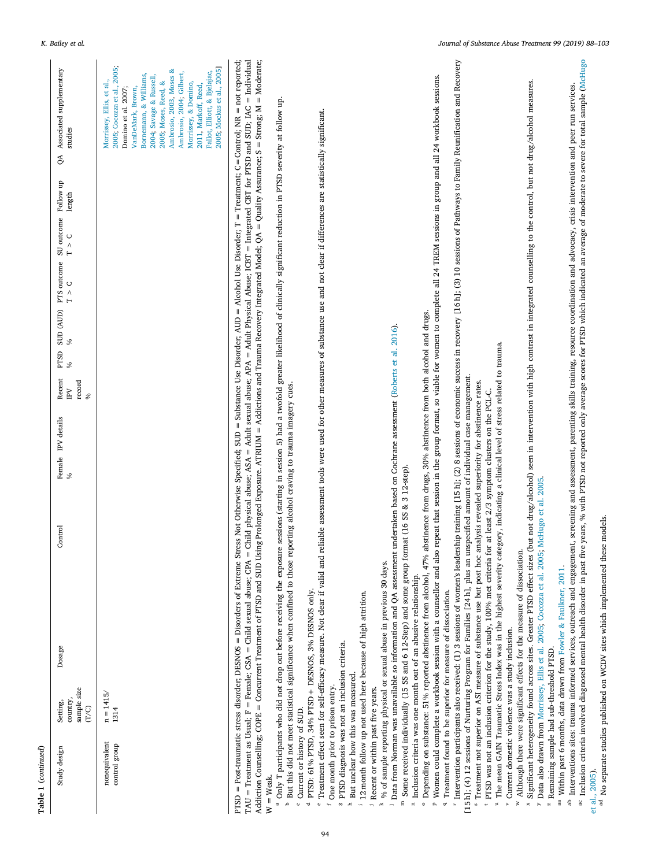| Table 1 (continued)            |                                              |        |         |                         |                   |                    |                        |                                                                                                                                                                                                                                                                                                                          |
|--------------------------------|----------------------------------------------|--------|---------|-------------------------|-------------------|--------------------|------------------------|--------------------------------------------------------------------------------------------------------------------------------------------------------------------------------------------------------------------------------------------------------------------------------------------------------------------------|
| Study design                   | country,<br>sample size<br>(T/C)<br>Setting, | Dosage | Control | Female IPV details<br>℅ | record<br>IV<br>℅ | %<br>$\frac{6}{6}$ | $T > C$ $T > C$ length | Recent PTSD SUD (AUD) PTS outcome SU outcome Follow up QA Associated supplementary<br>studies                                                                                                                                                                                                                            |
| nonequivalent<br>control group | $n=1415/$<br>1314                            |        |         |                         |                   |                    |                        | 2005; Cocozza et al., 2005;<br>Ambrosio, 2003, Moses &<br>Fallot. Elliott. & Bielajac.<br>Ambrosio, 2004, Gilbert,<br>Bornemann, & Williams,<br>2004; Savage & Russell,<br>Morrissey, Ellis, et al.,<br>2005; Moses, Reed, &<br>Morrissey, & Domino,<br>2011, Markoff, Reed,<br>VanDeMark, Brown,<br>Domino et al. 2007; |

Addiction Counselling; COPE = Concurrent Treatment of PTSD and SUD Using Prolonged Exposure. ATRUM = Addictions and Trauma Recovery Integrated Model; QA = Quality Assurance; S = Strong; M = Moderate; PTSD = Post-traumatic stress disorder; DESNOS = Disorders of Extreme Stress Not Otherwise Specified; SUD = Substance Use Disorder; AUD = Alcohol Use Disorder; T = Treatment; C=Control; NR = not reported; PTSD = Post-traumatic stress disorder; DESNOS = Disorders of Extreme Stress Not Otherwise Specified; SUD = Substance Use Disorder; AUD = Alcohol Use Disorder; T = Treatment; C=Control; NR = not reported;<br>TAU = Treatment as  $TAU = T$ reatment as Usual;  $F =$ Fernale; CSA = Child sexual abuse; CPA = Child physical abuse; ASA = Adult sexual abuse; APA = Adult Physical Abuse; ICBT = Integrated CBT for PTSD and SUD; IAC = Individual TAU = Treatment as Usual; F = Female; CSA = Child sexual abuse; CPA = Child physical abuse; ASA = Adult exual abuse; APA = Adult Physical Abuse; ICBT = Integrated CBT for PTSD and SUD; IAC = Individual<br>Addiction Counsellin Addiction Counselling; COPE = Concurrent Treatment of PTSD and SUDD Using Prolonged Exposure. ATRIUM = Addictions and Trauma Recovery Integrated Model; QA = Quality Assurance; S = Strong; M = Moderate;<br>W = Weak.

Fallot, Elliott, & [Bjelajac,](#page-14-36) [2005](#page-14-36); [Mockus](#page-14-37) et al., 2005]

2005; Mockus et al., 2005]

- <span id="page-6-3"></span><span id="page-6-1"></span><span id="page-6-0"></span>W = Weak.<br>a Only T participants who did not drop out before receiving the exposure sessions (starting in session 5) had a twofold greater likelihood of clinically significant reduction in PTSD severity at follow up. a Only T participants who did not drop out before receiving the exposure sessions (starting in session 5) had a twofold greater likelihood of clinically significant reduction in PTSD severity at follow up.<br><sup>b</sup> But this did
	- But this did not meet statistical significance when confined to those reporting alcohol craving to trauma imagery cues. <sup>b</sup> But this did not meet statistical significance when confined to those reporting alcohol craving to trauma imagery cues.<br><sup>c</sup> Current or history of SUD. ء
		- Current or history of SUD. <sup>c</sup> Current or history of SUD.<br><sup>d</sup> PTSD: 61% PTSD. 34% PT c

a

- PTSD: 61% PTSD, 34% PTSD + DESNOS, 3% DESNOS only. PTSD: 61% PTSD, 34% PTSD+ DESNOS, 3% DESNOS only. d
- <span id="page-6-9"></span><span id="page-6-8"></span><span id="page-6-7"></span><span id="page-6-6"></span><span id="page-6-5"></span><span id="page-6-4"></span>Treatment effect seen for self-efficacy measure. Not clear if valid and reliable assessment tools were used for other measures of substance use and not clear if differences are statistically significant. threatment effect seen for self-efficacy measure. Not clear if valid and reliable assessment tools were used for other measures of substance use and not clear if differences are statistically significant.<br>Cone month prior e
	- One month prior to prison entry. <sup>1</sup> One month prior to prison entry.<br><sup>8</sup> PTSD diagnosis was not an inclu f
- PTSD diagnosis was not an inclusion criteria. <sup>g</sup> PTSD diagnosis was not an inclusion criteria.<br><sup>h</sup> But unclear how this was measured. g
- But unclear how this was measured. **But unclear how this was measured.**<br><sup>1</sup> 12 month follow up not used here be h

i

- 12 month follow up not used here because of high attrition. 12 month follow up not used here because of high attrition.
	- <sup>j</sup> Recent or within past five years.<br> $\frac{k}{\%}$  of sample reporting physical Recent or within past five years.
- % of sample reporting physical or sexual abuse in previous 30 days. % of sample reporting physical or sexual abuse in previous 30 days. k
- ' Data from Norman was unavailable so information and QA assessment undertaken based on Cochrane assessment ([Roberts](#page-15-4) et al. 2016).<br>™ Some received individually (15 SS and 6 12-Step) and some group format (16 SS & 3 12-st Data from Norman was unavailable so information and OA assessment undertaken based on Cochrane assessment (Roberts et al. 2016).
	- Some received individually (15 SS and 6 12-Step) and some group format (16 SS & 3 12-step). Some received individually (15 SS and 6 12-Step) and some group format (16 SS & 3 12-step).
		- Inclusion criteria was one month out of an abusive relationship. Inclusion criteria was one month out of an abusive relationship.<br>C Depending on substance: 51% reported abstinence from alcohol
- $^{\circ}$  Depending on substance: 51% reported abstinence from alcohol, 47% abstinence from drugs, 30% abstinence from both alcohol and drugs.  $^\circ$  Depending on substance: 51% reported abstinence from alcohol, 47% abstinence from drugs, 30% abstinence from both alcohol and drugs.<br>P Women could complete a workbook session with a counsellor and also repeat that se
- <span id="page-6-19"></span><span id="page-6-18"></span><span id="page-6-17"></span><span id="page-6-16"></span><span id="page-6-15"></span><span id="page-6-14"></span><span id="page-6-13"></span>P Women could complete a workbook session with a counsellor and also repeat that session in the group format, so viable for women to complete all 24 TREM sessions in group and all 24 workbook sessions. <sup>p</sup> Women could complete a workbook session with a counsellor and also repeat that session in the group format, so viable for women to complete all 24 TREM sessions in group and all 24 workbook sessions.<br><sup>9</sup> Treatment foun Treatment found to be superior for measure of dissociation.  $\overline{\phantom{a}}$
- <span id="page-6-23"></span><span id="page-6-22"></span><span id="page-6-21"></span><span id="page-6-20"></span>Intervention participants also received: (1) 3 sessions of women's leadership training [15 h]; (2) 8 sessions of economic success in recovery [16 h]; (3) 10 sessions of Pathways to Family Reunification and Recovery <sup>r</sup> Intervention participants also received: (1) 3 sessions of women's leadership training [15 h]; (2) 8 sessions of economic success in recovery [16 h]; (3) 10 sessions of Pathways to Family Reunification and Recovery<br>5 h Treatment found to be superior for measure of dissociation. r
	- [15 h]; (4) 12 sessions of Nurturing Program for Families [24 h], plus an unspecified amount of individual case management. [15h]; (4) 12 sessions of Nurturing Program for Families [24 h], plus an unspecified amount of individual case management.
		- Treatment not superior on ASI measure of substance use but post hoc analysis revealed superiority for abstinence rates. Treatment not superior on ASI measure of substance use but post hoc analysis revealed superiority for abstinence rates.<br>FPTSD was not an inclusion criterion for the study. 100% met criteria for at least 2/3 symptom cluster t
- PTSD was not an inclusion criterion for the study, 100% met criteria for at least 2/3 symptom clusters on the PCL-C. PTSD was not an inclusion criterion for the study, 100% met criteria for at least 2/3 symptom clusters on the PCL-C.
- " The mean GAIN Traumatic Stress Index was in the highest severity category, indicating a clinical level of stress related to trauma. The mean GAIN Traumatic Stress Index was in the highest severity category, indicating a clinical level of stress related to trauma.
	- Current domestic violence was a study inclusion. Current domestic violence was a study inclusion. v
- <sup>w</sup> Although there were significant effects for the measure of dissociation. Although there were significant effects for the measure of dissociation.
- <span id="page-6-29"></span><span id="page-6-28"></span><span id="page-6-26"></span><span id="page-6-25"></span><span id="page-6-24"></span><sup>x</sup> Significant heterogeneity found across sites. Greater PTSD effect sizes (but not drug/alcobol) seen in intervention with high contrast in integrated counselling to the control, but not drug/alcohol measures. <sup>x</sup> Significant heterogeneity found across sites. Greater PTSD effect sizes (but not drug/alcohol) seen in intervention with high contrast in integrated counselling to the control, but not drug/alcohol measures.<br><sup>y</sup> Data a y Data also drawn from Morrissey, Ellis et al. 2005; Cocozza et al. 2005; McHugo et al. 2005. <sup>y</sup> Data also drawn from [Morrissey,](#page-14-33) Ellis et al. 2005; [Cocozza](#page-13-35) et al. 2005; [McHugo](#page-14-38) et al. 2005.<br><sup>2</sup> Remaining sample had sub-threshold PTSD.
	- Remaining sample had sub-threshold PTSD.  $\frac{z}{\pi}$  Remaining sample had sub-threshold PTSD.<br> $\frac{z}{\pi}$  Within past 6 months, data drawn from Fo z
- <sup>aa</sup> Within past 6 months, data drawn from Fowler & Faulkner, 2011.  $^{\rm{aa}}$  Within past 6 months, data drawn from Fowler & [Faulkner,](#page-13-9) 2011.  $^{\rm{ab}}$  Interventions sites: trauma informed services, outreach and engage
- <span id="page-6-27"></span><span id="page-6-12"></span><span id="page-6-11"></span><span id="page-6-10"></span><span id="page-6-2"></span>Inclusion criteria involved diagnosed mental health disorder in past five years, % with PTSD not reported only average scores for PTSD which indicated an average of moderate to severe for total sample (McHugo ac Inclusion criteria involved diagnosed mental health disorder in past five years, % with PTSD not reported only average scores for hich indicated an average of moderate to severe for total sample [\(McHugo](#page-14-38) al. 2005). <sup>ab</sup> Interventions sites: trauma informed services, outreach and engagement, screening and assessment, parenting skills training, resource coordination and advocacy, crisis intervention and peer run services.  $^{\text{ab}}$  Interventions sites: trauma informed services, outreach and engagement, screening and assessment, parenting skills training, resource coordination and advocacy, crisis intervention and peer run services.<br>" Inclusi ac
	- et al., [2005](#page-14-38)).<br><sup>ad</sup> No separate studies published on WCDV sites which implemented these models. ad No separate studies published on WCDV sites which implemented these models.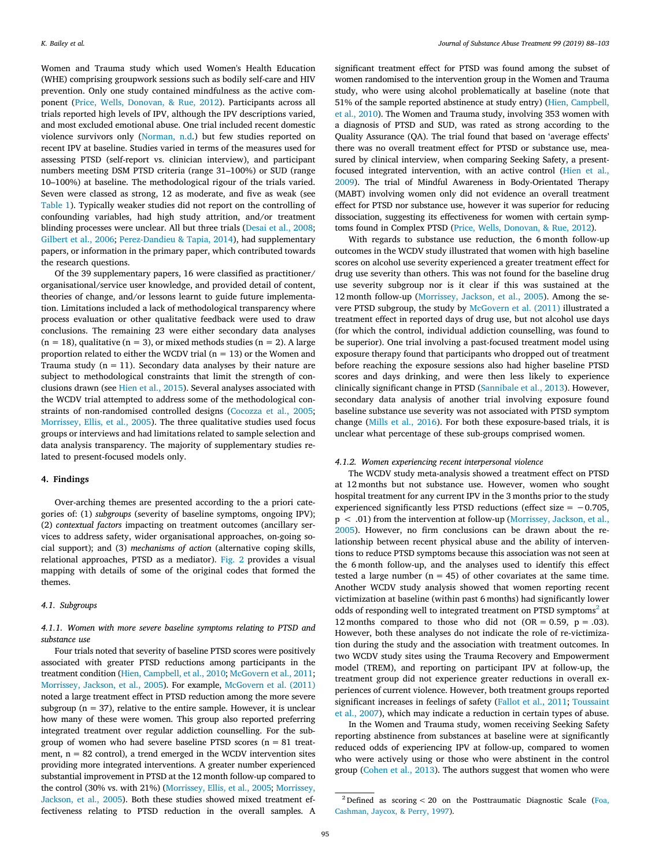Women and Trauma study which used Women's Health Education (WHE) comprising groupwork sessions such as bodily self-care and HIV prevention. Only one study contained mindfulness as the active component([Price, Wells, Donovan, & Rue, 2012\)](#page-14-29). Participants across all trials reported high levels of IPV, although the IPV descriptions varied, and most excluded emotional abuse. One trial included recent domestic violence survivors only([Norman, n.d.](#page-14-27)) but few studies reported on recent IPV at baseline. Studies varied in terms of the measures used for assessing PTSD (self-report vs. clinician interview), and participant numbers meeting DSM PTSD criteria (range 31–100%) or SUD (range 10–100%) at baseline. The methodological rigour of the trials varied. Seven were classed as strong, 12 as moderate, and five as weak (see [Table 1](#page-3-0)). Typically weaker studies did not report on the controlling of confounding variables, had high study attrition, and/or treatment blinding processes were unclear. All but three trials([Desai et al., 2008](#page-13-21); [Gilbert et al., 2006;](#page-13-31) [Perez-Dandieu & Tapia, 2014](#page-14-16)), had supplementary papers, or information in the primary paper, which contributed towards the research questions.

Of the 39 supplementary papers, 16 were classified as practitioner/ organisational/service user knowledge, and provided detail of content, theories of change, and/or lessons learnt to guide future implementation. Limitations included a lack of methodological transparency where process evaluation or other qualitative feedback were used to draw conclusions. The remaining 23 were either secondary data analyses  $(n = 18)$ , qualitative  $(n = 3)$ , or mixed methods studies  $(n = 2)$ . A large proportion related to either the WCDV trial ( $n = 13$ ) or the Women and Trauma study ( $n = 11$ ). Secondary data analyses by their nature are subject to methodological constraints that limit the strength of conclusions drawn (see [Hien et al., 2015\)](#page-14-22). Several analyses associated with the WCDV trial attempted to address some of the methodological constraints of non-randomised controlled designs [\(Cocozza et al., 2005](#page-13-35); [Morrissey, Ellis, et al., 2005](#page-14-33)). The three qualitative studies used focus groups or interviews and had limitations related to sample selection and data analysis transparency. The majority of supplementary studies related to present-focused models only.

#### **4. Findings**

Over-arching themes are presented according to the a priori categories of: (1) *subgroups* (severity of baseline symptoms, ongoing IPV); (2) *contextual factors* impacting on treatment outcomes (ancillary services to address safety, wider organisational approaches, on-going social support); and (3) *mechanisms of action* (alternative coping skills, relational approaches, PTSD as a mediator). [Fig. 2](#page-9-0) provides a visual mapping with details of some of the original codes that formed the themes.

#### *4.1. Subgroups*

# *4.1.1. Women with more severe baseline symptoms relating to PTSD and substance use*

Four trials noted that severity of baseline PTSD scores were positively associated with greater PTSD reductions among participants in the treatment condition([Hien, Campbell, et al., 2010](#page-13-25); [McGovern et al., 2011](#page-14-18); [Morrissey, Jackson, et al., 2005](#page-14-32)). For example, [McGovern et al. \(2011\)](#page-14-18) noted a large treatment effect in PTSD reduction among the more severe subgroup ( $n = 37$ ), relative to the entire sample. However, it is unclear how many of these were women. This group also reported preferring integrated treatment over regular addiction counselling. For the subgroup of women who had severe baseline PTSD scores  $(n = 81$  treatment,  $n = 82$  control), a trend emerged in the WCDV intervention sites providing more integrated interventions. A greater number experienced substantial improvement in PTSD at the 12 month follow-up compared to the control (30% vs. with 21%)([Morrissey, Ellis, et al., 2005](#page-14-33); [Morrissey,](#page-14-32) [Jackson, et al., 2005\)](#page-14-32). Both these studies showed mixed treatment effectiveness relating to PTSD reduction in the overall samples. A

significant treatment effect for PTSD was found among the subset of women randomised to the intervention group in the Women and Trauma study, who were using alcohol problematically at baseline (note that 51% of the sample reported abstinence at study entry)([Hien, Campbell,](#page-13-25) [et al., 2010\)](#page-13-25). The Women and Trauma study, involving 353 women with a diagnosis of PTSD and SUD, was rated as strong according to the Quality Assurance (QA). The trial found that based on 'average effects' there was no overall treatment effect for PTSD or substance use, measured by clinical interview, when comparing Seeking Safety, a presentfocused integrated intervention, with an active control [\(Hien et al.,](#page-14-21) [2009](#page-14-21)). The trial of Mindful Awareness in Body-Orientated Therapy (MABT) involving women only did not evidence an overall treatment effect for PTSD nor substance use, however it was superior for reducing dissociation, suggesting its effectiveness for women with certain symptoms found in Complex PTSD [\(Price, Wells, Donovan, & Rue, 2012](#page-14-29)).

With regards to substance use reduction, the 6 month follow-up outcomes in the WCDV study illustrated that women with high baseline scores on alcohol use severity experienced a greater treatment effect for drug use severity than others. This was not found for the baseline drug use severity subgroup nor is it clear if this was sustained at the 12 month follow-up([Morrissey, Jackson, et al., 2005](#page-14-32)). Among the severe PTSD subgroup, the study by [McGovern et al. \(2011\)](#page-14-18) illustrated a treatment effect in reported days of drug use, but not alcohol use days (for which the control, individual addiction counselling, was found to be superior). One trial involving a past-focused treatment model using exposure therapy found that participants who dropped out of treatment before reaching the exposure sessions also had higher baseline PTSD scores and days drinking, and were then less likely to experience clinically significant change in PTSD [\(Sannibale et al., 2013](#page-15-10)). However, secondary data analysis of another trial involving exposure found baseline substance use severity was not associated with PTSD symptom change([Mills et al., 2016\)](#page-14-15). For both these exposure-based trials, it is unclear what percentage of these sub-groups comprised women.

#### *4.1.2. Women experiencing recent interpersonal violence*

The WCDV study meta-analysis showed a treatment effect on PTSD at 12 months but not substance use. However, women who sought hospital treatment for any current IPV in the 3 months prior to the study experienced significantly less PTSD reductions (effect size = −0.705,  $p < .01$ ) from the intervention at follow-up [\(Morrissey, Jackson, et al.,](#page-14-32) [2005\)](#page-14-32). However, no firm conclusions can be drawn about the relationship between recent physical abuse and the ability of interventions to reduce PTSD symptoms because this association was not seen at the 6 month follow-up, and the analyses used to identify this effect tested a large number ( $n = 45$ ) of other covariates at the same time. Another WCDV study analysis showed that women reporting recent victimization at baseline (within past 6 months) had significantly lower odds of responding well to integrated treatment on PTSD symptoms<sup>[2](#page-7-0)</sup> at 12 months compared to those who did not  $(OR = 0.59, p = .03)$ . However, both these analyses do not indicate the role of re-victimization during the study and the association with treatment outcomes. In two WCDV study sites using the Trauma Recovery and Empowerment model (TREM), and reporting on participant IPV at follow-up, the treatment group did not experience greater reductions in overall experiences of current violence. However, both treatment groups reported significant increases in feelings of safety([Fallot et al., 2011](#page-13-26); [Toussaint](#page-15-18) [et al., 2007\)](#page-15-18), which may indicate a reduction in certain types of abuse.

In the Women and Trauma study, women receiving Seeking Safety reporting abstinence from substances at baseline were at significantly reduced odds of experiencing IPV at follow-up, compared to women who were actively using or those who were abstinent in the control group([Cohen et al., 2013\)](#page-13-24). The authors suggest that women who were

<span id="page-7-0"></span><sup>&</sup>lt;sup>2</sup> Defined as scoring < 20 on the Posttraumatic Diagnostic Scale [\(Foa,](#page-13-37) [Cashman, Jaycox, & Perry, 1997](#page-13-37)).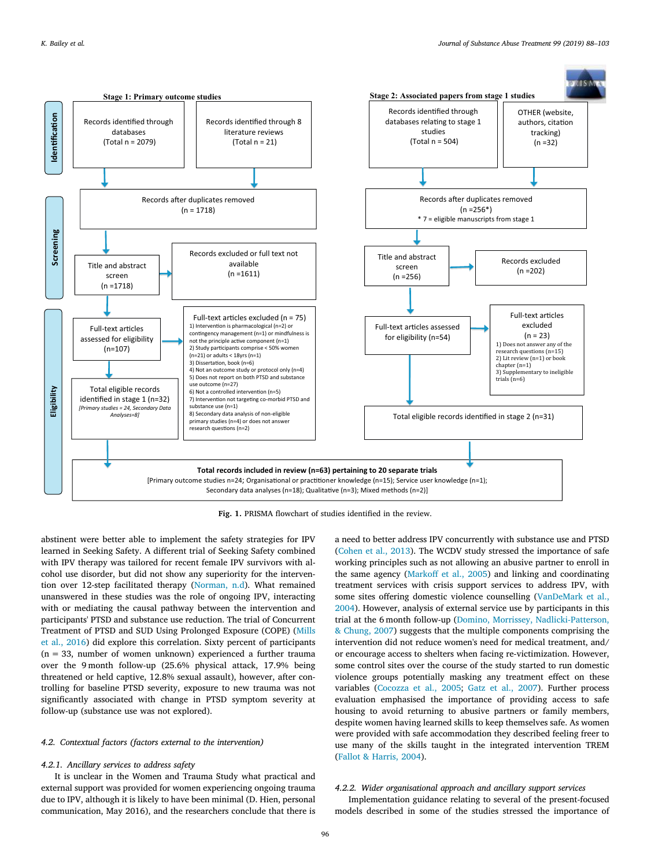<span id="page-8-0"></span>

**Fig. 1.** PRISMA flowchart of studies identified in the review.

abstinent were better able to implement the safety strategies for IPV learned in Seeking Safety. A different trial of Seeking Safety combined with IPV therapy was tailored for recent female IPV survivors with alcohol use disorder, but did not show any superiority for the intervention over 12-step facilitated therapy([Norman, n.d\)](#page-14-27). What remained unanswered in these studies was the role of ongoing IPV, interacting with or mediating the causal pathway between the intervention and participants' PTSD and substance use reduction. The trial of Concurrent Treatment of PTSD and SUD Using Prolonged Exposure (COPE) [\(Mills](#page-14-15) [et al., 2016\)](#page-14-15) did explore this correlation. Sixty percent of participants  $(n = 33$ , number of women unknown) experienced a further trauma over the 9 month follow-up (25.6% physical attack, 17.9% being threatened or held captive, 12.8% sexual assault), however, after controlling for baseline PTSD severity, exposure to new trauma was not significantly associated with change in PTSD symptom severity at follow-up (substance use was not explored).

# *4.2. Contextual factors (factors external to the intervention)*

#### *4.2.1. Ancillary services to address safety*

It is unclear in the Women and Trauma Study what practical and external support was provided for women experiencing ongoing trauma due to IPV, although it is likely to have been minimal (D. Hien, personal communication, May 2016), and the researchers conclude that there is a need to better address IPV concurrently with substance use and PTSD ([Cohen et al., 2013\)](#page-13-24). The WCDV study stressed the importance of safe working principles such as not allowing an abusive partner to enroll in the same agency([Markoff et al., 2005](#page-14-36)) and linking and coordinating treatment services with crisis support services to address IPV, with some sites offering domestic violence counselling([VanDeMark et al.,](#page-15-21) [2004\)](#page-15-21). However, analysis of external service use by participants in this trial at the 6 month follow-up [\(Domino, Morrissey, Nadlicki-Patterson,](#page-13-38) [& Chung, 2007](#page-13-38)) suggests that the multiple components comprising the intervention did not reduce women's need for medical treatment, and/ or encourage access to shelters when facing re-victimization. However, some control sites over the course of the study started to run domestic violence groups potentially masking any treatment effect on these variables [\(Cocozza et al., 2005;](#page-13-35) [Gatz et al., 2007](#page-13-22)). Further process evaluation emphasised the importance of providing access to safe housing to avoid returning to abusive partners or family members, despite women having learned skills to keep themselves safe. As women were provided with safe accommodation they described feeling freer to use many of the skills taught in the integrated intervention TREM ([Fallot & Harris, 2004](#page-13-28)).

# *4.2.2. Wider organisational approach and ancillary support services*

Implementation guidance relating to several of the present-focused models described in some of the studies stressed the importance of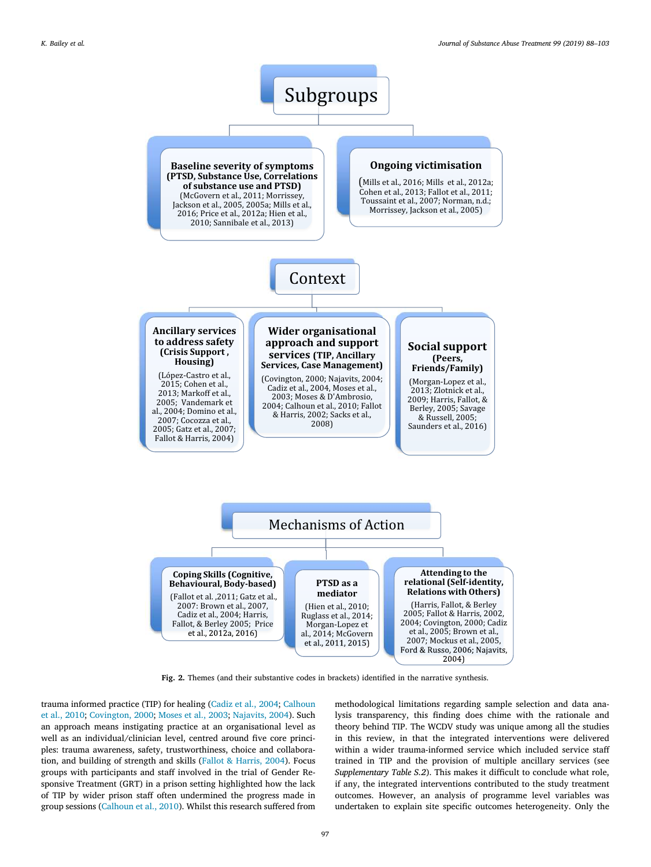<span id="page-9-0"></span>![](_page_9_Figure_2.jpeg)

**Fig. 2.** Themes (and their substantive codes in brackets) identified in the narrative synthesis.

trauma informed practice (TIP) for healing [\(Cadiz et al., 2004;](#page-13-34) [Calhoun](#page-13-16) [et al., 2010](#page-13-16); [Covington, 2000;](#page-13-30) [Moses et al., 2003;](#page-14-34) [Najavits, 2004](#page-14-20)). Such an approach means instigating practice at an organisational level as well as an individual/clinician level, centred around five core principles: trauma awareness, safety, trustworthiness, choice and collaboration, and building of strength and skills([Fallot & Harris, 2004\)](#page-13-28). Focus groups with participants and staff involved in the trial of Gender Responsive Treatment (GRT) in a prison setting highlighted how the lack of TIP by wider prison staff often undermined the progress made in group sessions([Calhoun et al., 2010\)](#page-13-16). Whilst this research suffered from methodological limitations regarding sample selection and data analysis transparency, this finding does chime with the rationale and theory behind TIP. The WCDV study was unique among all the studies in this review, in that the integrated interventions were delivered within a wider trauma-informed service which included service staff trained in TIP and the provision of multiple ancillary services (see *Supplementary Table S.2*). This makes it difficult to conclude what role, if any, the integrated interventions contributed to the study treatment outcomes. However, an analysis of programme level variables was undertaken to explain site specific outcomes heterogeneity. Only the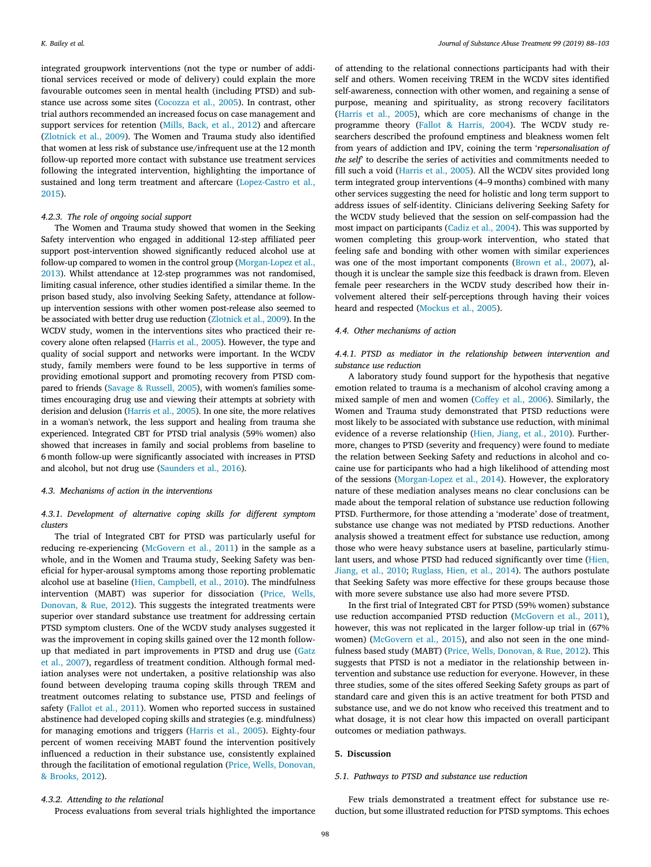integrated groupwork interventions (not the type or number of additional services received or mode of delivery) could explain the more favourable outcomes seen in mental health (including PTSD) and substance use across some sites([Cocozza et al., 2005\)](#page-13-35). In contrast, other trial authors recommended an increased focus on case management and support services for retention [\(Mills, Back, et al., 2012](#page-14-13)) and aftercare ([Zlotnick et al., 2009](#page-15-14)). The Women and Trauma study also identified that women at less risk of substance use/infrequent use at the 12 month follow-up reported more contact with substance use treatment services following the integrated intervention, highlighting the importance of sustained and long term treatment and aftercare [\(Lopez-Castro et al.,](#page-14-24) [2015\)](#page-14-24).

# *4.2.3. The role of ongoing social support*

The Women and Trauma study showed that women in the Seeking Safety intervention who engaged in additional 12-step affiliated peer support post-intervention showed significantly reduced alcohol use at follow-up compared to women in the control group [\(Morgan-Lopez et al.,](#page-14-25) [2013](#page-14-25)). Whilst attendance at 12-step programmes was not randomised, limiting casual inference, other studies identified a similar theme. In the prison based study, also involving Seeking Safety, attendance at followup intervention sessions with other women post-release also seemed to be associated with better drug use reduction [\(Zlotnick et al., 2009\)](#page-15-14). In the WCDV study, women in the interventions sites who practiced their recovery alone often relapsed([Harris et al., 2005\)](#page-13-29). However, the type and quality of social support and networks were important. In the WCDV study, family members were found to be less supportive in terms of providing emotional support and promoting recovery from PTSD compared to friends([Savage & Russell, 2005](#page-15-22)), with women's families sometimes encouraging drug use and viewing their attempts at sobriety with derision and delusion([Harris et al., 2005](#page-13-29)). In one site, the more relatives in a woman's network, the less support and healing from trauma she experienced. Integrated CBT for PTSD trial analysis (59% women) also showed that increases in family and social problems from baseline to 6 month follow-up were significantly associated with increases in PTSD and alcohol, but not drug use([Saunders et al., 2016\)](#page-15-13).

#### *4.3. Mechanisms of action in the interventions*

# *4.3.1. Development of alternative coping skills for different symptom clusters*

The trial of Integrated CBT for PTSD was particularly useful for reducing re-experiencing([McGovern et al., 2011\)](#page-14-18) in the sample as a whole, and in the Women and Trauma study, Seeking Safety was beneficial for hyper-arousal symptoms among those reporting problematic alcohol use at baseline [\(Hien, Campbell, et al., 2010\)](#page-13-25). The mindfulness intervention (MABT) was superior for dissociation [\(Price, Wells,](#page-14-29) [Donovan, & Rue, 2012\)](#page-14-29). This suggests the integrated treatments were superior over standard substance use treatment for addressing certain PTSD symptom clusters. One of the WCDV study analyses suggested it was the improvement in coping skills gained over the 12 month followup that mediated in part improvements in PTSD and drug use([Gatz](#page-13-22) [et al., 2007](#page-13-22)), regardless of treatment condition. Although formal mediation analyses were not undertaken, a positive relationship was also found between developing trauma coping skills through TREM and treatment outcomes relating to substance use, PTSD and feelings of safety [\(Fallot et al., 2011\)](#page-13-26). Women who reported success in sustained abstinence had developed coping skills and strategies (e.g. mindfulness) for managing emotions and triggers [\(Harris et al., 2005](#page-13-29)). Eighty-four percent of women receiving MABT found the intervention positively influenced a reduction in their substance use, consistently explained through the facilitation of emotional regulation [\(Price, Wells, Donovan,](#page-14-30) [& Brooks, 2012\)](#page-14-30).

of attending to the relational connections participants had with their self and others. Women receiving TREM in the WCDV sites identified self-awareness, connection with other women, and regaining a sense of purpose, meaning and spirituality, as strong recovery facilitators ([Harris et al., 2005](#page-13-29)), which are core mechanisms of change in the programme theory [\(Fallot & Harris, 2004\)](#page-13-28). The WCDV study researchers described the profound emptiness and bleakness women felt from years of addiction and IPV, coining the term '*repersonalisation of the self*' to describe the series of activities and commitments needed to fill such a void [\(Harris et al., 2005](#page-13-29)). All the WCDV sites provided long term integrated group interventions (4–9 months) combined with many other services suggesting the need for holistic and long term support to address issues of self-identity. Clinicians delivering Seeking Safety for the WCDV study believed that the session on self-compassion had the most impact on participants([Cadiz et al., 2004\)](#page-13-34). This was supported by women completing this group-work intervention, who stated that feeling safe and bonding with other women with similar experiences was one of the most important components([Brown et al., 2007](#page-13-32)), although it is unclear the sample size this feedback is drawn from. Eleven female peer researchers in the WCDV study described how their involvement altered their self-perceptions through having their voices heard and respected [\(Mockus et al., 2005\)](#page-14-37).

#### *4.4. Other mechanisms of action*

# *4.4.1. PTSD as mediator in the relationship between intervention and substance use reduction*

A laboratory study found support for the hypothesis that negative emotion related to trauma is a mechanism of alcohol craving among a mixed sample of men and women [\(Coffey et al., 2006](#page-13-18)). Similarly, the Women and Trauma study demonstrated that PTSD reductions were most likely to be associated with substance use reduction, with minimal evidence of a reverse relationship [\(Hien, Jiang, et al., 2010\)](#page-14-23). Furthermore, changes to PTSD (severity and frequency) were found to mediate the relation between Seeking Safety and reductions in alcohol and cocaine use for participants who had a high likelihood of attending most of the sessions [\(Morgan-Lopez et al., 2014](#page-14-39)). However, the exploratory nature of these mediation analyses means no clear conclusions can be made about the temporal relation of substance use reduction following PTSD. Furthermore, for those attending a 'moderate' dose of treatment, substance use change was not mediated by PTSD reductions. Another analysis showed a treatment effect for substance use reduction, among those who were heavy substance users at baseline, particularly stimulant users, and whose PTSD had reduced significantly over time([Hien,](#page-14-23) [Jiang, et al., 2010;](#page-14-23) [Ruglass, Hien, et al., 2014\)](#page-15-15). The authors postulate that Seeking Safety was more effective for these groups because those with more severe substance use also had more severe PTSD.

In the first trial of Integrated CBT for PTSD (59% women) substance usereduction accompanied PTSD reduction ([McGovern et al., 2011](#page-14-18)), however, this was not replicated in the larger follow-up trial in (67% women) [\(McGovern et al., 2015](#page-14-17)), and also not seen in the one mindfulness based study (MABT)([Price, Wells, Donovan, & Rue, 2012](#page-14-29)). This suggests that PTSD is not a mediator in the relationship between intervention and substance use reduction for everyone. However, in these three studies, some of the sites offered Seeking Safety groups as part of standard care and given this is an active treatment for both PTSD and substance use, and we do not know who received this treatment and to what dosage, it is not clear how this impacted on overall participant outcomes or mediation pathways.

#### **5. Discussion**

#### *5.1. Pathways to PTSD and substance use reduction*

# *4.3.2. Attending to the relational*

Process evaluations from several trials highlighted the importance

Few trials demonstrated a treatment effect for substance use reduction, but some illustrated reduction for PTSD symptoms. This echoes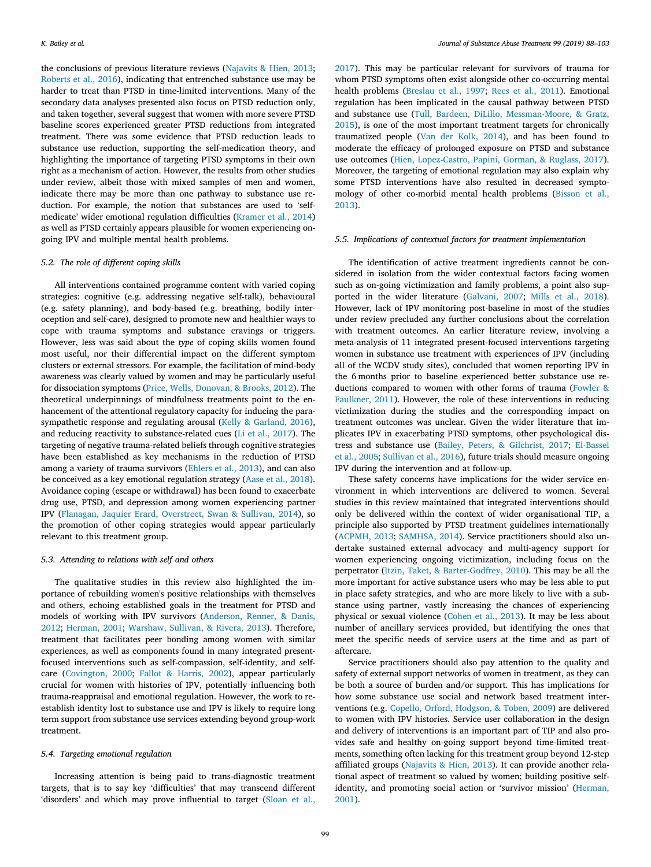the conclusions of previous literature reviews([Najavits & Hien, 2013](#page-14-40); [Roberts et al., 2016\)](#page-15-4), indicating that entrenched substance use may be harder to treat than PTSD in time-limited interventions. Many of the secondary data analyses presented also focus on PTSD reduction only, and taken together, several suggest that women with more severe PTSD baseline scores experienced greater PTSD reductions from integrated treatment. There was some evidence that PTSD reduction leads to substance use reduction, supporting the self-medication theory, and highlighting the importance of targeting PTSD symptoms in their own right as a mechanism of action. However, the results from other studies under review, albeit those with mixed samples of men and women, indicate there may be more than one pathway to substance use reduction. For example, the notion that substances are used to 'selfmedicate' wider emotional regulation difficulties [\(Kramer et al., 2014\)](#page-14-6) as well as PTSD certainly appears plausible for women experiencing ongoing IPV and multiple mental health problems.

#### *5.2. The role of different coping skills*

All interventions contained programme content with varied coping strategies: cognitive (e.g. addressing negative self-talk), behavioural (e.g. safety planning), and body-based (e.g. breathing, bodily interoception and self-care), designed to promote new and healthier ways to cope with trauma symptoms and substance cravings or triggers. However, less was said about the *type* of coping skills women found most useful, nor their differential impact on the different symptom clusters or external stressors. For example, the facilitation of mind-body awareness was clearly valued by women and may be particularly useful for dissociation symptoms([Price, Wells, Donovan, & Brooks, 2012](#page-14-30)). The theoretical underpinnings of mindfulness treatments point to the enhancement of the attentional regulatory capacity for inducing the parasympathetic response and regulating arousal([Kelly & Garland, 2016](#page-14-41)), and reducing reactivity to substance-related cues([Li et al., 2017\)](#page-14-7). The targeting of negative trauma-related beliefs through cognitive strategies have been established as key mechanisms in the reduction of PTSD among a variety of trauma survivors [\(Ehlers et al., 2013\)](#page-13-39), and can also be conceived as a key emotional regulation strategy([Aase et al., 2018](#page-12-2)). Avoidance coping (escape or withdrawal) has been found to exacerbate drug use, PTSD, and depression among women experiencing partner IPV [\(Flanagan, Jaquier Erard, Overstreet, Swan & Sullivan, 2014\)](#page-13-40), so the promotion of other coping strategies would appear particularly relevant to this treatment group.

# *5.3. Attending to relations with self and others*

The qualitative studies in this review also highlighted the importance of rebuilding women's positive relationships with themselves and others, echoing established goals in the treatment for PTSD and models of working with IPV survivors [\(Anderson, Renner, & Danis,](#page-13-41) [2012;](#page-13-41) [Herman, 2001](#page-13-6); [Warshaw, Sullivan, & Rivera, 2013\)](#page-15-23). Therefore, treatment that facilitates peer bonding among women with similar experiences, as well as components found in many integrated presentfocused interventions such as self-compassion, self-identity, and selfcare([Covington, 2000;](#page-13-30) [Fallot & Harris, 2002](#page-13-27)), appear particularly crucial for women with histories of IPV, potentially influencing both trauma-reappraisal and emotional regulation. However, the work to reestablish identity lost to substance use and IPV is likely to require long term support from substance use services extending beyond group-work treatment.

#### *5.4. Targeting emotional regulation*

Increasing attention is being paid to trans-diagnostic treatment targets, that is to say key 'difficulties' that may transcend different 'disorders' and which may prove influential to target [\(Sloan et al.,](#page-15-24)

[2017\)](#page-15-24). This may be particular relevant for survivors of trauma for whom PTSD symptoms often exist alongside other co-occurring mental health problems([Breslau et al., 1997](#page-13-4); [Rees et al., 2011\)](#page-14-1). Emotional regulation has been implicated in the causal pathway between PTSD and substance use [\(Tull, Bardeen, DiLillo, Messman-Moore, & Gratz,](#page-15-25) [2015\)](#page-15-25), is one of the most important treatment targets for chronically traumatized people([Van der Kolk, 2014](#page-15-7)), and has been found to moderate the efficacy of prolonged exposure on PTSD and substance use outcomes([Hien, Lopez-Castro, Papini, Gorman, & Ruglass, 2017](#page-14-42)). Moreover, the targeting of emotional regulation may also explain why some PTSD interventions have also resulted in decreased symptomology of other co-morbid mental health problems([Bisson et al.,](#page-13-5) [2013\)](#page-13-5).

## *5.5. Implications of contextual factors for treatment implementation*

The identification of active treatment ingredients cannot be considered in isolation from the wider contextual factors facing women such as on-going victimization and family problems, a point also supported in the wider literature([Galvani, 2007;](#page-13-42) [Mills et al., 2018](#page-14-43)). However, lack of IPV monitoring post-baseline in most of the studies under review precluded any further conclusions about the correlation with treatment outcomes. An earlier literature review, involving a meta-analysis of 11 integrated present-focused interventions targeting women in substance use treatment with experiences of IPV (including all of the WCDV study sites), concluded that women reporting IPV in the 6 months prior to baseline experienced better substance use reductions compared to women with other forms of trauma [\(Fowler &](#page-13-9) [Faulkner, 2011\)](#page-13-9). However, the role of these interventions in reducing victimization during the studies and the corresponding impact on treatment outcomes was unclear. Given the wider literature that implicates IPV in exacerbating PTSD symptoms, other psychological distress and substance use([Bailey, Peters, & Gilchrist, 2017](#page-13-43); [El-Bassel](#page-13-0) [et al., 2005](#page-13-0); [Sullivan et al., 2016](#page-15-26)), future trials should measure ongoing IPV during the intervention and at follow-up.

These safety concerns have implications for the wider service environment in which interventions are delivered to women. Several studies in this review maintained that integrated interventions should only be delivered within the context of wider organisational TIP, a principle also supported by PTSD treatment guidelines internationally ([ACPMH, 2013](#page-13-44); [SAMHSA, 2014](#page-15-27)). Service practitioners should also undertake sustained external advocacy and multi-agency support for women experiencing ongoing victimization, including focus on the perpetrator [\(Itzin, Taket, & Barter-Godfrey, 2010\)](#page-14-44). This may be all the more important for active substance users who may be less able to put in place safety strategies, and who are more likely to live with a substance using partner, vastly increasing the chances of experiencing physical or sexual violence [\(Cohen et al., 2013](#page-13-24)). It may be less about number of ancillary services provided, but identifying the ones that meet the specific needs of service users at the time and as part of aftercare.

Service practitioners should also pay attention to the quality and safety of external support networks of women in treatment, as they can be both a source of burden and/or support. This has implications for how some substance use social and network based treatment interventions (e.g. [Copello, Orford, Hodgson, & Toben, 2009\)](#page-13-45) are delivered to women with IPV histories. Service user collaboration in the design and delivery of interventions is an important part of TIP and also provides safe and healthy on-going support beyond time-limited treatments, something often lacking for this treatment group beyond 12-step affiliated groups([Najavits & Hien, 2013](#page-14-40)). It can provide another relational aspect of treatment so valued by women; building positive selfidentity, and promoting social action or 'survivor mission' [\(Herman,](#page-13-6) [2001\)](#page-13-6).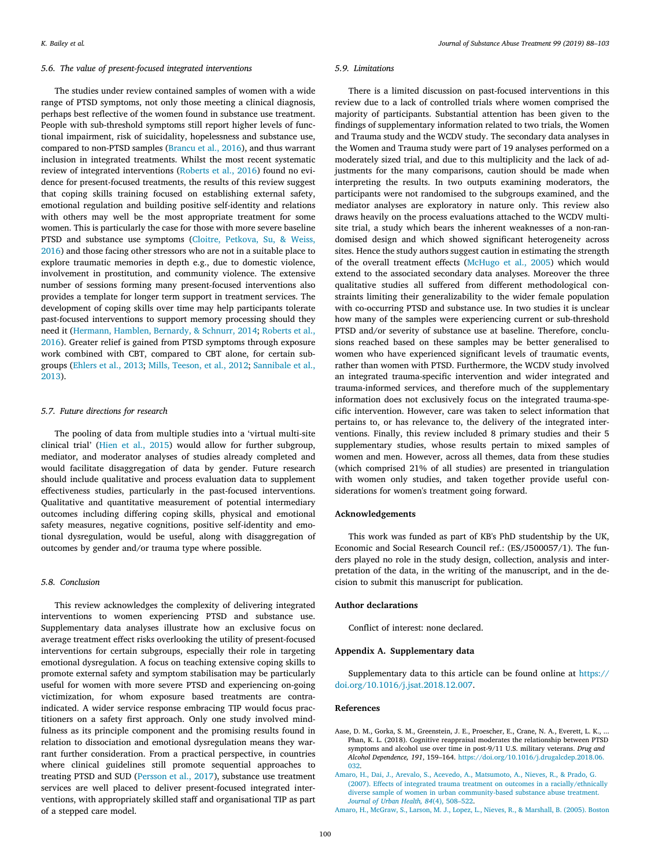#### *5.6. The value of present-focused integrated interventions*

The studies under review contained samples of women with a wide range of PTSD symptoms, not only those meeting a clinical diagnosis, perhaps best reflective of the women found in substance use treatment. People with sub-threshold symptoms still report higher levels of functional impairment, risk of suicidality, hopelessness and substance use, compared to non-PTSD samples [\(Brancu et al., 2016\)](#page-13-46), and thus warrant inclusion in integrated treatments. Whilst the most recent systematic review of integrated interventions([Roberts et al., 2016](#page-15-4)) found no evidence for present-focused treatments, the results of this review suggest that coping skills training focused on establishing external safety, emotional regulation and building positive self-identity and relations with others may well be the most appropriate treatment for some women. This is particularly the case for those with more severe baseline PTSD and substance use symptoms [\(Cloitre, Petkova, Su, & Weiss,](#page-13-47) [2016\)](#page-13-47) and those facing other stressors who are not in a suitable place to explore traumatic memories in depth e.g., due to domestic violence, involvement in prostitution, and community violence. The extensive number of sessions forming many present-focused interventions also provides a template for longer term support in treatment services. The development of coping skills over time may help participants tolerate past-focused interventions to support memory processing should they needit([Hermann, Hamblen, Bernardy, & Schnurr, 2014](#page-13-48); [Roberts et al.,](#page-15-4) [2016\)](#page-15-4). Greater relief is gained from PTSD symptoms through exposure work combined with CBT, compared to CBT alone, for certain subgroups([Ehlers et al., 2013](#page-13-39); [Mills, Teeson, et al., 2012](#page-14-14); [Sannibale et al.,](#page-15-10) [2013\)](#page-15-10).

# *5.7. Future directions for research*

The pooling of data from multiple studies into a 'virtual multi-site clinical trial'([Hien et al., 2015\)](#page-14-22) would allow for further subgroup, mediator, and moderator analyses of studies already completed and would facilitate disaggregation of data by gender. Future research should include qualitative and process evaluation data to supplement effectiveness studies, particularly in the past-focused interventions. Qualitative and quantitative measurement of potential intermediary outcomes including differing coping skills, physical and emotional safety measures, negative cognitions, positive self-identity and emotional dysregulation, would be useful, along with disaggregation of outcomes by gender and/or trauma type where possible.

# *5.8. Conclusion*

This review acknowledges the complexity of delivering integrated interventions to women experiencing PTSD and substance use. Supplementary data analyses illustrate how an exclusive focus on average treatment effect risks overlooking the utility of present-focused interventions for certain subgroups, especially their role in targeting emotional dysregulation. A focus on teaching extensive coping skills to promote external safety and symptom stabilisation may be particularly useful for women with more severe PTSD and experiencing on-going victimization, for whom exposure based treatments are contraindicated. A wider service response embracing TIP would focus practitioners on a safety first approach. Only one study involved mindfulness as its principle component and the promising results found in relation to dissociation and emotional dysregulation means they warrant further consideration. From a practical perspective, in countries where clinical guidelines still promote sequential approaches to treating PTSD and SUD([Persson et al., 2017\)](#page-14-45), substance use treatment services are well placed to deliver present-focused integrated interventions, with appropriately skilled staff and organisational TIP as part of a stepped care model.

#### *5.9. Limitations*

There is a limited discussion on past-focused interventions in this review due to a lack of controlled trials where women comprised the majority of participants. Substantial attention has been given to the findings of supplementary information related to two trials, the Women and Trauma study and the WCDV study. The secondary data analyses in the Women and Trauma study were part of 19 analyses performed on a moderately sized trial, and due to this multiplicity and the lack of adjustments for the many comparisons, caution should be made when interpreting the results. In two outputs examining moderators, the participants were not randomised to the subgroups examined, and the mediator analyses are exploratory in nature only. This review also draws heavily on the process evaluations attached to the WCDV multisite trial, a study which bears the inherent weaknesses of a non-randomised design and which showed significant heterogeneity across sites. Hence the study authors suggest caution in estimating the strength of the overall treatment effects([McHugo et al., 2005\)](#page-14-38) which would extend to the associated secondary data analyses. Moreover the three qualitative studies all suffered from different methodological constraints limiting their generalizability to the wider female population with co-occurring PTSD and substance use. In two studies it is unclear how many of the samples were experiencing current or sub-threshold PTSD and/or severity of substance use at baseline. Therefore, conclusions reached based on these samples may be better generalised to women who have experienced significant levels of traumatic events, rather than women with PTSD. Furthermore, the WCDV study involved an integrated trauma-specific intervention and wider integrated and trauma-informed services, and therefore much of the supplementary information does not exclusively focus on the integrated trauma-specific intervention. However, care was taken to select information that pertains to, or has relevance to, the delivery of the integrated interventions. Finally, this review included 8 primary studies and their 5 supplementary studies, whose results pertain to mixed samples of women and men. However, across all themes, data from these studies (which comprised 21% of all studies) are presented in triangulation with women only studies, and taken together provide useful considerations for women's treatment going forward.

#### **Acknowledgements**

This work was funded as part of KB's PhD studentship by the UK, Economic and Social Research Council ref.: (ES/J500057/1). The funders played no role in the study design, collection, analysis and interpretation of the data, in the writing of the manuscript, and in the decision to submit this manuscript for publication.

#### **Author declarations**

Conflict of interest: none declared.

# **Appendix A. Supplementary data**

Supplementary data to this article can be found online at [https://](https://doi.org/10.1016/j.jsat.2018.12.007) [doi.org/10.1016/j.jsat.2018.12.007.](https://doi.org/10.1016/j.jsat.2018.12.007)

# **References**

- <span id="page-12-2"></span>Aase, D. M., Gorka, S. M., Greenstein, J. E., Proescher, E., Crane, N. A., Everett, L. K., ... Phan, K. L. (2018). Cognitive reappraisal moderates the relationship between PTSD symptoms and alcohol use over time in post-9/11 U.S. military veterans. *Drug and Alcohol Dependence, 191*, 159–164. [https://doi.org/10.1016/j.drugalcdep.2018.06.](https://doi.org/10.1016/j.drugalcdep.2018.06.032) [032](https://doi.org/10.1016/j.drugalcdep.2018.06.032).
- <span id="page-12-0"></span>[Amaro, H., Dai, J., Arevalo, S., Acevedo, A., Matsumoto, A., Nieves, R., &](http://refhub.elsevier.com/S0740-5472(18)30255-1/rf0010) Prado, G. [\(2007\). Effects of integrated trauma treatment on outcomes in a racially/ethnically](http://refhub.elsevier.com/S0740-5472(18)30255-1/rf0010) [diverse sample of women in urban community-based substance abuse treatment.](http://refhub.elsevier.com/S0740-5472(18)30255-1/rf0010) *[Journal of Urban Health, 84](http://refhub.elsevier.com/S0740-5472(18)30255-1/rf0010)*(4), 508–522.
- <span id="page-12-1"></span>[Amaro, H., McGraw, S., Larson, M. J., Lopez, L., Nieves, R., & Marshall, B. \(2005\).](http://refhub.elsevier.com/S0740-5472(18)30255-1/rf0015) Boston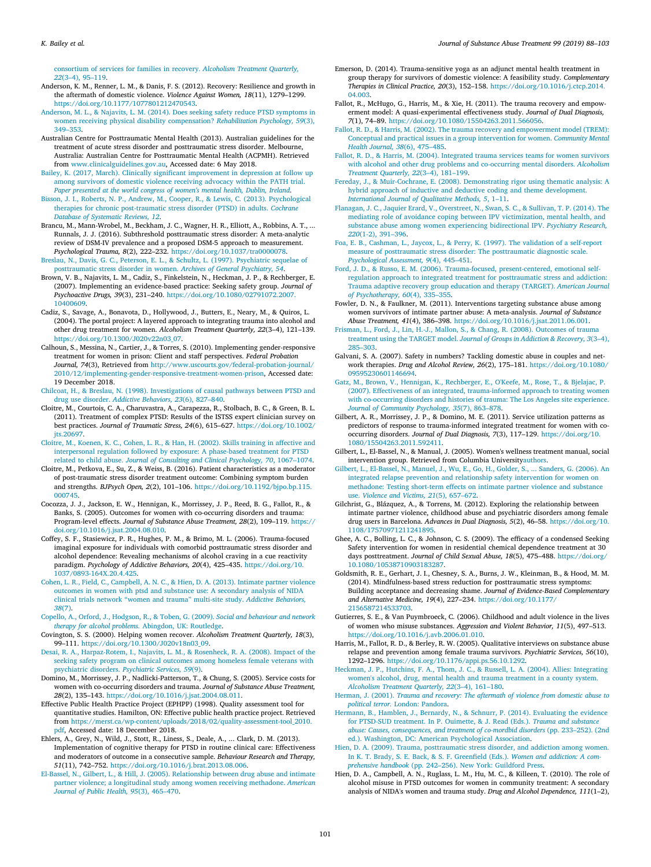[consortium of services for families in recovery.](http://refhub.elsevier.com/S0740-5472(18)30255-1/rf0015) *Alcoholism Treatment Quarterly, 22*[\(3–4\), 95–119.](http://refhub.elsevier.com/S0740-5472(18)30255-1/rf0015)

- <span id="page-13-41"></span>Anderson, K. M., Renner, L. M., & Danis, F. S. (2012). Recovery: Resilience and growth in the aftermath of domestic violence. *Violence Against Women, 18*(11), 1279–1299. [https://doi.org/10.1177/1077801212470543.](https://doi.org/10.1177/1077801212470543)
- <span id="page-13-23"></span>[Anderson, M. L., & Najavits, L. M. \(2014\). Does seeking safety reduce PTSD symptoms in](http://refhub.elsevier.com/S0740-5472(18)30255-1/rf0025) [women receiving physical disability compensation?](http://refhub.elsevier.com/S0740-5472(18)30255-1/rf0025) *Rehabilitation Psychology, 59*(3), [349–353](http://refhub.elsevier.com/S0740-5472(18)30255-1/rf0025).
- <span id="page-13-44"></span>Australian Centre for Posttraumatic Mental Health (2013). Australian guidelines for the treatment of acute stress disorder and posttraumatic stress disorder. Melbourne, Australia: Australian Centre for Posttraumatic Mental Health (ACPMH). Retrieved from [www.clinicalguidelines.gov.au,](http://www.clinicalguidelines.gov.au) Accessed date: 6 May 2018.
- <span id="page-13-43"></span>[Bailey, K. \(2017, March\). Clinically significant improvement in depression at follow up](http://refhub.elsevier.com/S0740-5472(18)30255-1/rf0040) [among survivors of domestic violence receiving advocacy within the PATH trial.](http://refhub.elsevier.com/S0740-5472(18)30255-1/rf0040) *[Paper presented at the world congress of women's mental health, Dublin, Ireland](http://refhub.elsevier.com/S0740-5472(18)30255-1/rf0040)*.

<span id="page-13-5"></span>[Bisson, J. I., Roberts, N. P., Andrew, M., Cooper, R., & Lewis, C. \(2013\). Psychological](http://refhub.elsevier.com/S0740-5472(18)30255-1/rf0045) [therapies for chronic post-traumatic stress disorder \(PTSD\) in adults.](http://refhub.elsevier.com/S0740-5472(18)30255-1/rf0045) *Cochrane [Database of Systematic Reviews, 12](http://refhub.elsevier.com/S0740-5472(18)30255-1/rf0045)*.

<span id="page-13-46"></span>Brancu, M., Mann-Wrobel, M., Beckham, J. C., Wagner, H. R., Elliott, A., Robbins, A. T., ... Runnals, J. J. (2016). Subthreshold posttraumatic stress disorder: A meta-analytic review of DSM-IV prevalence and a proposed DSM-5 approach to measurement. *Psychological Trauma, 8*(2), 222–232. [https://doi.org/10.1037/tra0000078.](https://doi.org/10.1037/tra0000078) [Breslau, N., Davis, G. C., Peterson, E. L., & Schultz, L. \(1997\). Psychiatric sequelae of](http://refhub.elsevier.com/S0740-5472(18)30255-1/rf0055)

- <span id="page-13-4"></span>[posttraumatic stress disorder in women.](http://refhub.elsevier.com/S0740-5472(18)30255-1/rf0055) *Archives of General Psychiatry, 54*.
- <span id="page-13-32"></span>Brown, V. B., Najavits, L. M., Cadiz, S., Finkelstein, N., Heckman, J. P., & Rechberger, E. (2007). Implementing an evidence-based practice: Seeking safety group. *Journal of Psychoactive Drugs, 39*(3), 231–240. [https://doi.org/10.1080/02791072.2007.](https://doi.org/10.1080/02791072.2007.10400609) [10400609](https://doi.org/10.1080/02791072.2007.10400609).
- <span id="page-13-34"></span>Cadiz, S., Savage, A., Bonavota, D., Hollywood, J., Butters, E., Neary, M., & Quiros, L. (2004). The portal project: A layered approach to integrating trauma into alcohol and other drug treatment for women. *Alcoholism Treatment Quarterly, 22*(3–4), 121–139. [https://doi.org/10.1300/J020v22n03\\_07.](https://doi.org/10.1300/J020v22n03_07)
- <span id="page-13-16"></span>Calhoun, S., Messina, N., Cartier, J., & Torres, S. (2010). Implementing gender-responsive treatment for women in prison: Client and staff perspectives. *Federal Probation Journal, 74*(3), Retrieved from [http://www.uscourts.gov/federal-probation-journal/](http://www.uscourts.gov/federal-probation-journal/2010/12/implementing-gender-responsive-treatment-women-prison) [2010/12/implementing-gender-responsive-treatment-women-prison,](http://www.uscourts.gov/federal-probation-journal/2010/12/implementing-gender-responsive-treatment-women-prison) Accessed date: 19 December 2018.
- <span id="page-13-7"></span>[Chilcoat, H., & Breslau, N. \(1998\). Investigations of causal pathways between PTSD and](http://refhub.elsevier.com/S0740-5472(18)30255-1/rf0075) drug use disorder. *[Addictive Behaviors, 23](http://refhub.elsevier.com/S0740-5472(18)30255-1/rf0075)*(6), 827–840.
- <span id="page-13-8"></span>Cloitre, M., Courtois, C. A., Charuvastra, A., Carapezza, R., Stolbach, B. C., & Green, B. L. (2011). Treatment of complex PTSD: Results of the ISTSS expert clinician survey on best practices. *Journal of Traumatic Stress, 24*(6), 615–627. [https://doi.org/10.1002/](https://doi.org/10.1002/jts.20697) its.20697.
- <span id="page-13-10"></span>[Cloitre, M., Koenen, K. C., Cohen, L. R., & Han, H. \(2002\). Skills training in affective and](http://refhub.elsevier.com/S0740-5472(18)30255-1/rf0085) [interpersonal regulation followed by exposure: A phase-based treatment for PTSD](http://refhub.elsevier.com/S0740-5472(18)30255-1/rf0085) related to child abuse. *[Journal of Consulting and Clinical Psychology, 70](http://refhub.elsevier.com/S0740-5472(18)30255-1/rf0085)*, 1067–1074.
- <span id="page-13-47"></span>Cloitre, M., Petkova, E., Su, Z., & Weiss, B. (2016). Patient characteristics as a moderator of post-traumatic stress disorder treatment outcome: Combining symptom burden and strengths. *BJPsych Open, 2*(2), 101–106. [https://doi.org/10.1192/bjpo.bp.115.](https://doi.org/10.1192/bjpo.bp.115.000745) [000745](https://doi.org/10.1192/bjpo.bp.115.000745).
- <span id="page-13-35"></span>Cocozza, J. J., Jackson, E. W., Hennigan, K., Morrissey, J. P., Reed, B. G., Fallot, R., & Banks, S. (2005). Outcomes for women with co-occurring disorders and trauma: Program-level effects. *Journal of Substance Abuse Treatment, 28*(2), 109–119. [https://](https://doi.org/10.1016/j.jsat.2004.08.010) [doi.org/10.1016/j.jsat.2004.08.010](https://doi.org/10.1016/j.jsat.2004.08.010).
- <span id="page-13-18"></span>Coffey, S. F., Stasiewicz, P. R., Hughes, P. M., & Brimo, M. L. (2006). Trauma-focused imaginal exposure for individuals with comorbid posttraumatic stress disorder and alcohol dependence: Revealing mechanisms of alcohol craving in a cue reactivity paradigm. *Psychology of Addictive Behaviors, 20*(4), 425–435. [https://doi.org/10.](https://doi.org/10.1037/0893-164X.20.4.425) [1037/0893-164X.20.4.425](https://doi.org/10.1037/0893-164X.20.4.425).
- <span id="page-13-24"></span>[Cohen, L. R., Field, C., Campbell, A. N. C., & Hien, D. A. \(2013\). Intimate partner violence](http://refhub.elsevier.com/S0740-5472(18)30255-1/rf0105) [outcomes in women with ptsd and substance use: A secondary analysis of NIDA](http://refhub.elsevier.com/S0740-5472(18)30255-1/rf0105) [clinical trials network "women and trauma" multi-site study.](http://refhub.elsevier.com/S0740-5472(18)30255-1/rf0105) *Addictive Behaviors, 38*[\(7\)](http://refhub.elsevier.com/S0740-5472(18)30255-1/rf0105).
- <span id="page-13-45"></span>[Copello, A., Orford, J., Hodgson, R., & Toben, G. \(2009\).](http://refhub.elsevier.com/S0740-5472(18)30255-1/rf0110) *Social and behaviour and network [therapy for alcohol problems.](http://refhub.elsevier.com/S0740-5472(18)30255-1/rf0110)* Abingdon, UK: Routledge.
- <span id="page-13-30"></span>Covington, S. S. (2000). Helping women recover. *Alcoholism Treatment Quarterly, 18*(3), 99–111. [https://doi.org/10.1300/J020v18n03\\_09.](https://doi.org/10.1300/J020v18n03_09)
- <span id="page-13-21"></span>[Desai, R. A., Harpaz-Rotem, I., Najavits, L. M., & Rosenheck, R. A. \(2008\). Impact of](http://refhub.elsevier.com/S0740-5472(18)30255-1/rf0120) the [seeking safety program on clinical outcomes among homeless female veterans with](http://refhub.elsevier.com/S0740-5472(18)30255-1/rf0120) psychiatric disorders. *[Psychiatric Services, 59](http://refhub.elsevier.com/S0740-5472(18)30255-1/rf0120)*(9).
- <span id="page-13-38"></span>Domino, M., Morrissey, J. P., Nadlicki-Patterson, T., & Chung, S. (2005). Service costs for women with co-occurring disorders and trauma. *Journal of Substance Abuse Treatment, 28*(2), 135–143. <https://doi.org/10.1016/j.jsat.2004.08.011>.
- <span id="page-13-13"></span>Effective Public Health Practice Project (EPHPP) (1998). Quality assessment tool for quantitative studies. Hamilton, ON: Effective public health practice project. Retrieved from [https://merst.ca/wp-content/uploads/2018/02/quality-assessment-tool\\_2010.](https://merst.ca/wp-content/uploads/2018/02/quality-assessment-tool_2010.pdf) [pdf,](https://merst.ca/wp-content/uploads/2018/02/quality-assessment-tool_2010.pdf) Accessed date: 18 December 2018.
- <span id="page-13-39"></span>Ehlers, A., Grey, N., Wild, J., Stott, R., Liness, S., Deale, A., ... Clark, D. M. (2013). Implementation of cognitive therapy for PTSD in routine clinical care: Effectiveness and moderators of outcome in a consecutive sample. *Behaviour Research and Therapy, 51*(11), 742–752. [https://doi.org/10.1016/j.brat.2013.08.006.](https://doi.org/10.1016/j.brat.2013.08.006)
- <span id="page-13-0"></span>[El-Bassel, N., Gilbert, L., & Hill, J. \(2005\). Relationship between drug abuse and intimate](http://refhub.elsevier.com/S0740-5472(18)30255-1/rf0140) [partner violence; a longitudinal study among women receiving methadone.](http://refhub.elsevier.com/S0740-5472(18)30255-1/rf0140) *American [Journal of Public Health, 95](http://refhub.elsevier.com/S0740-5472(18)30255-1/rf0140)*(3), 465–470.
- <span id="page-13-11"></span>Emerson, D. (2014). Trauma-sensitive yoga as an adjunct mental health treatment in group therapy for survivors of domestic violence: A feasibility study. *Complementary Therapies in Clinical Practice, 20*(3), 152–158. [https://doi.org/10.1016/j.ctcp.2014.](https://doi.org/10.1016/j.ctcp.2014.04.003) [04.003](https://doi.org/10.1016/j.ctcp.2014.04.003).
- <span id="page-13-26"></span>Fallot, R., McHugo, G., Harris, M., & Xie, H. (2011). The trauma recovery and empowerment model: A quasi-experimental effectiveness study. *Journal of Dual Diagnosis, 7*(1), 74–89. [https://doi.org/10.1080/15504263.2011.566056.](https://doi.org/10.1080/15504263.2011.566056)
- <span id="page-13-27"></span>[Fallot, R. D., & Harris, M. \(2002\). The trauma recovery and empowerment model \(TREM\):](http://refhub.elsevier.com/S0740-5472(18)30255-1/rf0155) [Conceptual and practical issues in a group intervention for women.](http://refhub.elsevier.com/S0740-5472(18)30255-1/rf0155) *Community Mental [Health Journal, 38](http://refhub.elsevier.com/S0740-5472(18)30255-1/rf0155)*(6), 475–485.
- <span id="page-13-28"></span>[Fallot, R. D., & Harris, M. \(2004\). Integrated trauma services teams for women](http://refhub.elsevier.com/S0740-5472(18)30255-1/rf0160) survivors [with alcohol and other drug problems and co-occurring mental disorders.](http://refhub.elsevier.com/S0740-5472(18)30255-1/rf0160) *Alcoholism [Treatment Quarterly, 22](http://refhub.elsevier.com/S0740-5472(18)30255-1/rf0160)*(3–4), 181–199.
- <span id="page-13-14"></span>[Fereday, J., & Muir-Cochrane, E. \(2008\). Demonstrating rigor using thematic analysis: A](http://refhub.elsevier.com/S0740-5472(18)30255-1/rf0165) [hybrid approach of inductive and deductive coding and theme development.](http://refhub.elsevier.com/S0740-5472(18)30255-1/rf0165) *[International Journal of Qualitative Methods, 5](http://refhub.elsevier.com/S0740-5472(18)30255-1/rf0165)*, 1–11.
- <span id="page-13-40"></span>[Flanagan, J. C., Jaquier Erard, V., Overstreet, N., Swan, S. C., & Sullivan, T. P. \(2014\). The](http://refhub.elsevier.com/S0740-5472(18)30255-1/rf2045) [mediating role of avoidance coping between IPV victimization, mental](http://refhub.elsevier.com/S0740-5472(18)30255-1/rf2045) health, and [substance abuse among women experiencing bidirectional IPV.](http://refhub.elsevier.com/S0740-5472(18)30255-1/rf2045) *Psychiatry Research, 220*[\(1-2\), 391–396.](http://refhub.elsevier.com/S0740-5472(18)30255-1/rf2045)
- <span id="page-13-37"></span>[Foa, E. B., Cashman, L., Jaycox, L., & Perry, K. \(1997\). The validation of a self-report](http://refhub.elsevier.com/S0740-5472(18)30255-1/rf2035) [measure of posttraumatic stress disorder: The posttraumatic diagnostic scale.](http://refhub.elsevier.com/S0740-5472(18)30255-1/rf2035) *[Psychological Assessment, 9](http://refhub.elsevier.com/S0740-5472(18)30255-1/rf2035)*(4), 445–451.
- <span id="page-13-15"></span>[Ford, J. D., & Russo, E. M. \(2006\). Trauma-focused, present-centered, emotional self](http://refhub.elsevier.com/S0740-5472(18)30255-1/rf0175)[regulation approach to integrated treatment for posttraumatic stress and addiction:](http://refhub.elsevier.com/S0740-5472(18)30255-1/rf0175) [Trauma adaptive recovery group education and therapy \(TARGET\).](http://refhub.elsevier.com/S0740-5472(18)30255-1/rf0175) *American Journal [of Psychotherapy, 60](http://refhub.elsevier.com/S0740-5472(18)30255-1/rf0175)*(4), 335–355.
- <span id="page-13-9"></span>Fowler, D. N., & Faulkner, M. (2011). Interventions targeting substance abuse among women survivors of intimate partner abuse: A meta-analysis. *Journal of Substance Abuse Treatment, 41*(4), 386–398. [https://doi.org/10.1016/j.jsat.2011.06.001.](https://doi.org/10.1016/j.jsat.2011.06.001)
- <span id="page-13-19"></span>[Frisman, L., Ford, J., Lin, H.-J., Mallon, S., & Chang, R. \(2008\). Outcomes of trauma](http://refhub.elsevier.com/S0740-5472(18)30255-1/rf0190) treatment using the TARGET model. *[Journal of Groups in Addiction & Recovery, 3](http://refhub.elsevier.com/S0740-5472(18)30255-1/rf0190)*(3–4), [285–303](http://refhub.elsevier.com/S0740-5472(18)30255-1/rf0190).
- <span id="page-13-42"></span>Galvani, S. A. (2007). Safety in numbers? Tackling domestic abuse in couples and network therapies. *Drug and Alcohol Review, 26*(2), 175–181. [https://doi.org/10.1080/](https://doi.org/10.1080/09595230601146694) [09595230601146694.](https://doi.org/10.1080/09595230601146694)
- <span id="page-13-22"></span>[Gatz, M., Brown, V., Hennigan, K., Rechberger, E., O'Keefe, M., Rose, T.,](http://refhub.elsevier.com/S0740-5472(18)30255-1/rf0200) & Bjelajac, P. [\(2007\). Effectiveness of an integrated, trauma-informed approach to treating women](http://refhub.elsevier.com/S0740-5472(18)30255-1/rf0200) [with co-occurring disorders and histories of trauma: The Los Angeles site experience.](http://refhub.elsevier.com/S0740-5472(18)30255-1/rf0200) *[Journal of Community Psychology, 35](http://refhub.elsevier.com/S0740-5472(18)30255-1/rf0200)*(7), 863–878.
- <span id="page-13-36"></span>Gilbert, A. R., Morrissey, J. P., & Domino, M. E. (2011). Service utilization patterns as predictors of response to trauma-informed integrated treatment for women with cooccurring disorders. *Journal of Dual Diagnosis, 7*(3), 117–129. [https://doi.org/10.](https://doi.org/10.1080/15504263.2011.592411) [1080/15504263.2011.592411](https://doi.org/10.1080/15504263.2011.592411).
- <span id="page-13-17"></span>Gilbert, L., El-Bassel, N., & Manual, J. (2005). Women's wellness treatment manual, social intervention group. Retrieved from Columbia University[authors](http://authors).
- <span id="page-13-31"></span>[Gilbert, L., El-Bassel, N., Manuel, J., Wu, E., Go, H., Golder, S., ... Sanders, G. \(2006\). An](http://refhub.elsevier.com/S0740-5472(18)30255-1/rf0215) [integrated relapse prevention and relationship safety intervention for women on](http://refhub.elsevier.com/S0740-5472(18)30255-1/rf0215) [methadone: Testing short-term effects on intimate partner violence](http://refhub.elsevier.com/S0740-5472(18)30255-1/rf0215) and substance use. *[Violence and Victims, 21](http://refhub.elsevier.com/S0740-5472(18)30255-1/rf0215)*(5), 657–672.
- <span id="page-13-1"></span>Gilchrist, G., Blázquez, A., & Torrens, M. (2012). Exploring the relationship between intimate partner violence, childhood abuse and psychiatric disorders among female drug users in Barcelona. *Advances in Dual Diagnosis, 5*(2), 46–58. [https://doi.org/10.](https://doi.org/10.1108/17570971211241895) [1108/17570971211241895](https://doi.org/10.1108/17570971211241895).
- <span id="page-13-20"></span>Ghee, A. C., Bolling, L. C., & Johnson, C. S. (2009). The efficacy of a condensed Seeking Safety intervention for women in residential chemical dependence treatment at 30 days posttreatment. *Journal of Child Sexual Abuse, 18*(5), 475–488. [https://doi.org/](https://doi.org/10.1080/10538710903183287) [10.1080/10538710903183287](https://doi.org/10.1080/10538710903183287).
- <span id="page-13-12"></span>Goldsmith, R. E., Gerhart, J. I., Chesney, S. A., Burns, J. W., Kleinman, B., & Hood, M. M. (2014). Mindfulness-based stress reduction for posttraumatic stress symptoms: Building acceptance and decreasing shame. *Journal of Evidence-Based Complementary and Alternative Medicine, 19*(4), 227–234. [https://doi.org/10.1177/](https://doi.org/10.1177/2156587214533703) [2156587214533703.](https://doi.org/10.1177/2156587214533703)
- <span id="page-13-2"></span>Gutierres, S. E., & Van Puymbroeck, C. (2006). Childhood and adult violence in the lives of women who misuse substances. *Aggression and Violent Behavior, 11*(5), 497–513. [https://doi.org/10.1016/j.avb.2006.01.010.](https://doi.org/10.1016/j.avb.2006.01.010)
- <span id="page-13-29"></span>Harris, M., Fallot, R. D., & Berley, R. W. (2005). Qualitative interviews on substance abuse relapse and prevention among female trauma survivors. *Psychiatric Services, 56*(10), 1292–1296. <https://doi.org/10.1176/appi.ps.56.10.1292>.
- <span id="page-13-33"></span>[Heckman, J. P., Hutchins, F. A., Thom, J. C., & Russell, L. A. \(2004\). Allies: Integrating](http://refhub.elsevier.com/S0740-5472(18)30255-1/rf0240) [women's alcohol, drug, mental health and trauma treatment in a county system.](http://refhub.elsevier.com/S0740-5472(18)30255-1/rf0240) *[Alcoholism Treatment Quarterly, 22](http://refhub.elsevier.com/S0740-5472(18)30255-1/rf0240)*(3–4), 161–180.
- <span id="page-13-6"></span>Herman, J. (2001). *[Trauma and recovery: The aftermath of violence from domestic abuse to](http://refhub.elsevier.com/S0740-5472(18)30255-1/rf0245) political terror.* [London: Pandora](http://refhub.elsevier.com/S0740-5472(18)30255-1/rf0245).
- <span id="page-13-48"></span>[Hermann, B., Hamblen, J., Bernardy, N., & Schnurr, P. \(2014\). Evaluating](http://refhub.elsevier.com/S0740-5472(18)30255-1/rf0250) the evidence [for PTSD-SUD treatment. In P. Ouimette, & J. Read \(Eds.\).](http://refhub.elsevier.com/S0740-5472(18)30255-1/rf0250) *Trauma and substance [abuse: Causes, consequences, and treatment of co-mordbid disorders](http://refhub.elsevier.com/S0740-5472(18)30255-1/rf0250)* (pp. 233–252). (2nd [ed.\). Washington, DC: American Psychological Association](http://refhub.elsevier.com/S0740-5472(18)30255-1/rf0250).
- <span id="page-13-3"></span>[Hien, D. A. \(2009\). Trauma, posttraumatic stress disorder, and addiction among women.](http://refhub.elsevier.com/S0740-5472(18)30255-1/rf0255) [In K. T. Brady, S. E. Back, & S. F. Greenfield \(Eds.\).](http://refhub.elsevier.com/S0740-5472(18)30255-1/rf0255) *Women and addiction: A comprehensive handbook* [\(pp. 242–256\). New York: Guildford Press.](http://refhub.elsevier.com/S0740-5472(18)30255-1/rf0255)
- <span id="page-13-25"></span>Hien, D. A., Campbell, A. N., Ruglass, L. M., Hu, M. C., & Killeen, T. (2010). The role of alcohol misuse in PTSD outcomes for women in community treatment: A secondary analysis of NIDA's women and trauma study. *Drug and Alcohol Dependence, 111*(1–2),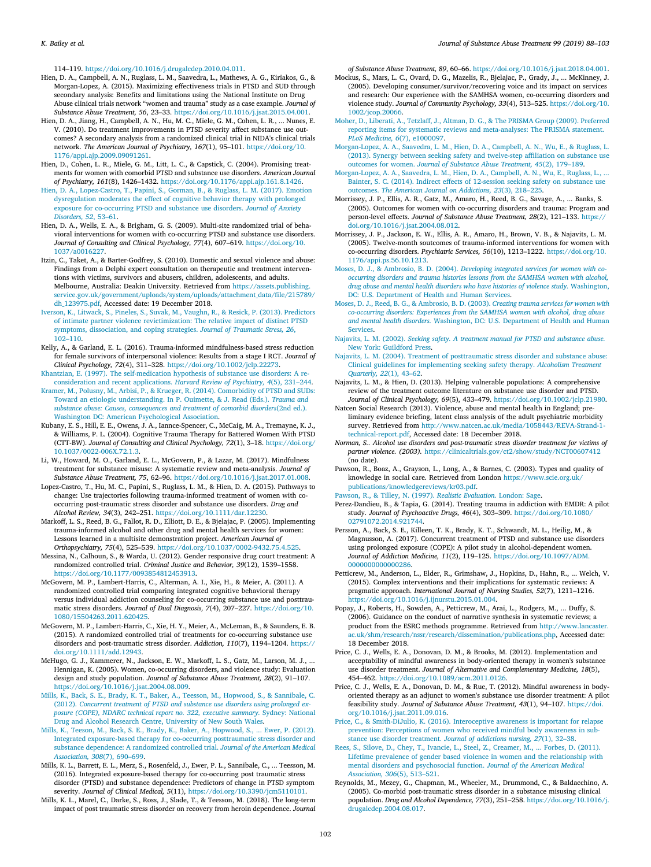114–119. [https://doi.org/10.1016/j.drugalcdep.2010.04.011.](https://doi.org/10.1016/j.drugalcdep.2010.04.011)

- <span id="page-14-22"></span>Hien, D. A., Campbell, A. N., Ruglass, L. M., Saavedra, L., Mathews, A. G., Kiriakos, G., & Morgan-Lopez, A. (2015). Maximizing effectiveness trials in PTSD and SUD through secondary analysis: Benefits and limitations using the National Institute on Drug Abuse clinical trials network "women and trauma" study as a case example. *Journal of Substance Abuse Treatment, 56*, 23–33. <https://doi.org/10.1016/j.jsat.2015.04.001>.
- <span id="page-14-23"></span>Hien, D. A., Jiang, H., Campbell, A. N., Hu, M. C., Miele, G. M., Cohen, L. R., ... Nunes, E. V. (2010). Do treatment improvements in PTSD severity affect substance use outcomes? A secondary analysis from a randomized clinical trial in NIDA's clinical trials network. *The American Journal of Psychiatry, 167*(1), 95–101. [https://doi.org/10.](https://doi.org/10.1176/appi.ajp.2009.09091261) [1176/appi.ajp.2009.09091261](https://doi.org/10.1176/appi.ajp.2009.09091261).
- <span id="page-14-19"></span>Hien, D., Cohen, L. R., Miele, G. M., Litt, L. C., & Capstick, C. (2004). Promising treatments for women with comorbid PTSD and substance use disorders. *American Journal of Psychiatry, 161*(8), 1426–1432. [https://doi.org/10.1176/appi.ajp.161.8.1426.](https://doi.org/10.1176/appi.ajp.161.8.1426)
- <span id="page-14-42"></span>[Hien, D. A., Lopez-Castro, T., Papini, S., Gorman, B., & Ruglass, L. M. \(2017\). Emotion](http://refhub.elsevier.com/S0740-5472(18)30255-1/rf0275) [dysregulation moderates the effect of cognitive behavior therapy with prolonged](http://refhub.elsevier.com/S0740-5472(18)30255-1/rf0275) [exposure for co-occurring PTSD and substance use disorders.](http://refhub.elsevier.com/S0740-5472(18)30255-1/rf0275) *Journal of Anxiety [Disorders, 52](http://refhub.elsevier.com/S0740-5472(18)30255-1/rf0275)*, 53–61.
- <span id="page-14-21"></span>Hien, D. A., Wells, E. A., & Brigham, G. S. (2009). Multi-site randomized trial of behavioral interventions for women with co-occurring PTSD and substance use disorders. *Journal of Consulting and Clinical Psychology, 77*(4), 607–619. [https://doi.org/10.](https://doi.org/10.1037/a0016227) [1037/a0016227](https://doi.org/10.1037/a0016227).
- <span id="page-14-44"></span>Itzin, C., Taket, A., & Barter-Godfrey, S. (2010). Domestic and sexual violence and abuse: Findings from a Delphi expert consultation on therapeutic and treatment interventions with victims, survivors and abusers, children, adolescents, and adults. Melbourne, Australia: Deakin University. Retrieved from [https://assets.publishing.](https://assets.publishing.service.gov.uk/government/uploads/system/uploads/attachment_data/file/215789/dh_123975.pdf) [service.gov.uk/government/uploads/system/uploads/attachment\\_data/file/215789/](https://assets.publishing.service.gov.uk/government/uploads/system/uploads/attachment_data/file/215789/dh_123975.pdf) [dh\\_123975.pdf,](https://assets.publishing.service.gov.uk/government/uploads/system/uploads/attachment_data/file/215789/dh_123975.pdf) Accessed date: 19 December 2018.
- <span id="page-14-2"></span>[Iverson, K., Litwack, S., Pineles, S., Suvak, M., Vaughn, R., & Resick, P. \(2013\).](http://refhub.elsevier.com/S0740-5472(18)30255-1/rf0290) Predictors [of intimate partner violence revictimization: The relative impact of distinct PTSD](http://refhub.elsevier.com/S0740-5472(18)30255-1/rf0290) [symptoms, dissociation, and coping strategies.](http://refhub.elsevier.com/S0740-5472(18)30255-1/rf0290) *Journal of Traumatic Stress, 26*, [102–110](http://refhub.elsevier.com/S0740-5472(18)30255-1/rf0290).
- <span id="page-14-41"></span>Kelly, A., & Garland, E. L. (2016). Trauma-informed mindfulness-based stress reduction for female survivors of interpersonal violence: Results from a stage I RCT. *Journal of Clinical Psychology, 72*(4), 311–328. <https://doi.org/10.1002/jclp.22273>.

<span id="page-14-4"></span>[Khantzian, E. \(1997\). The self-medication hypothesis of substance use disorders: A](http://refhub.elsevier.com/S0740-5472(18)30255-1/rf0300) re[consideration and recent applications.](http://refhub.elsevier.com/S0740-5472(18)30255-1/rf0300) *Harvard Review of Psychiatry, 4*(5), 231–244.

- <span id="page-14-6"></span>[Kramer, M., Polusny, M., Arbisi, P., & Krueger, R. \(2014\). Comorbidity of PTSD and](http://refhub.elsevier.com/S0740-5472(18)30255-1/rf0305) SUDs: [Toward an etiologic understanding. In P. Ouimette, & J. Read \(Eds.\).](http://refhub.elsevier.com/S0740-5472(18)30255-1/rf0305) *Trauma and [substance abuse: Causes, consequences and treatment of comorbid disorders](http://refhub.elsevier.com/S0740-5472(18)30255-1/rf0305)*(2nd ed.). [Washington DC: American Psychological Association.](http://refhub.elsevier.com/S0740-5472(18)30255-1/rf0305)
- <span id="page-14-26"></span>Kubany, E. S., Hill, E. E., Owens, J. A., Iannce-Spencer, C., McCaig, M. A., Tremayne, K. J., & Williams, P. L. (2004). Cognitive Trauma Therapy for Battered Women With PTSD (CTT-BW). *Journal of Consulting and Clinical Psychology, 72*(1), 3–18. [https://doi.org/](https://doi.org/10.1037/0022-006X.72.1.3) [10.1037/0022-006X.72.1.3.](https://doi.org/10.1037/0022-006X.72.1.3)
- <span id="page-14-7"></span>Li, W., Howard, M. O., Garland, E. L., McGovern, P., & Lazar, M. (2017). Mindfulness treatment for substance misuse: A systematic review and meta-analysis. *Journal of Substance Abuse Treatment, 75*, 62–96. <https://doi.org/10.1016/j.jsat.2017.01.008>.
- <span id="page-14-24"></span>Lopez-Castro, T., Hu, M. C., Papini, S., Ruglass, L. M., & Hien, D. A. (2015). Pathways to change: Use trajectories following trauma-informed treatment of women with cooccurring post-traumatic stress disorder and substance use disorders. *Drug and Alcohol Review, 34*(3), 242–251. <https://doi.org/10.1111/dar.12230>.
- <span id="page-14-36"></span>Markoff, L. S., Reed, B. G., Fallot, R. D., Elliott, D. E., & Bjelajac, P. (2005). Implementing trauma-informed alcohol and other drug and mental health services for women: Lessons learned in a multisite demonstration project. *American Journal of Orthopsychiatry, 75*(4), 525–539. [https://doi.org/10.1037/0002-9432.75.4.525.](https://doi.org/10.1037/0002-9432.75.4.525)
- <span id="page-14-28"></span>Messina, N., Calhoun, S., & Warda, U. (2012). Gender responsive drug court treatment: A randomized controlled trial. *Criminal Justice and Behavior, 39*(12), 1539–1558. [https://doi.org/10.1177/0093854812453913.](https://doi.org/10.1177/0093854812453913)
- <span id="page-14-18"></span>McGovern, M. P., Lambert-Harris, C., Alterman, A. I., Xie, H., & Meier, A. (2011). A randomized controlled trial comparing integrated cognitive behavioral therapy versus individual addiction counseling for co-occurring substance use and posttraumatic stress disorders. *Journal of Dual Diagnosis, 7*(4), 207–227. [https://doi.org/10.](https://doi.org/10.1080/15504263.2011.620425) [1080/15504263.2011.620425](https://doi.org/10.1080/15504263.2011.620425).
- <span id="page-14-17"></span>McGovern, M. P., Lambert-Harris, C., Xie, H. Y., Meier, A., McLeman, B., & Saunders, E. B. (2015). A randomized controlled trial of treatments for co-occurring substance use disorders and post-traumatic stress disorder. *Addiction, 110*(7), 1194–1204. [https://](https://doi.org/10.1111/add.12943) [doi.org/10.1111/add.12943](https://doi.org/10.1111/add.12943).
- <span id="page-14-38"></span>McHugo, G. J., Kammerer, N., Jackson, E. W., Markoff, L. S., Gatz, M., Larson, M. J., ... Hennigan, K. (2005). Women, co-occurring disorders, and violence study: Evaluation design and study population. *Journal of Substance Abuse Treatment, 28*(2), 91–107. <https://doi.org/10.1016/j.jsat.2004.08.009>.
- <span id="page-14-13"></span>[Mills, K., Back, S. E., Brady, K. T., Baker, A., Teesson, M., Hopwood, S., & Sannibale, C.](http://refhub.elsevier.com/S0740-5472(18)30255-1/rf0340) (2012). *[Concurrent treatment of PTSD and substance use disorders using prolonged ex](http://refhub.elsevier.com/S0740-5472(18)30255-1/rf0340)[posure \(COPE\), NDARC technical report no. 322, executive summary.](http://refhub.elsevier.com/S0740-5472(18)30255-1/rf0340)* Sydney: National [Drug and Alcohol Research Centre, University of New South Wales.](http://refhub.elsevier.com/S0740-5472(18)30255-1/rf0340)
- <span id="page-14-14"></span>[Mills, K., Teeson, M., Back, S. E., Brady, K., Baker, A., Hopwood, S., ... Ewer, P.](http://refhub.elsevier.com/S0740-5472(18)30255-1/rf0345) (2012). [Integrated exposure-based therapy for co-occurring posttraumatic stress disorder and](http://refhub.elsevier.com/S0740-5472(18)30255-1/rf0345) [substance dependence: A randomized controlled trial.](http://refhub.elsevier.com/S0740-5472(18)30255-1/rf0345) *Journal of the American Medical [Association, 308](http://refhub.elsevier.com/S0740-5472(18)30255-1/rf0345)*(7), 690–699.
- <span id="page-14-15"></span>Mills, K. L., Barrett, E. L., Merz, S., Rosenfeld, J., Ewer, P. L., Sannibale, C., ... Teesson, M. (2016). Integrated exposure-based therapy for co-occurring post traumatic stress disorder (PTSD) and substance dependence: Predictors of change in PTSD symptom severity. *Journal of Clinical Medical, 5*(11), <https://doi.org/10.3390/jcm5110101>.
- <span id="page-14-43"></span>Mills, K. L., Marel, C., Darke, S., Ross, J., Slade, T., & Teesson, M. (2018). The long-term impact of post traumatic stress disorder on recovery from heroin dependence. *Journal*

*of Substance Abuse Treatment, 89*, 60–66. [https://doi.org/10.1016/j.jsat.2018.04.001.](https://doi.org/10.1016/j.jsat.2018.04.001)

- <span id="page-14-37"></span>Mockus, S., Mars, L. C., Ovard, D. G., Mazelis, R., Bjelajac, P., Grady, J., ... McKinney, J. (2005). Developing consumer/survivor/recovering voice and its impact on services and research: Our experience with the SAMHSA women, co-occurring disorders and violence study. *Journal of Community Psychology, 33*(4), 513–525. [https://doi.org/10.](https://doi.org/10.1002/jcop.20066) [1002/jcop.20066.](https://doi.org/10.1002/jcop.20066)
- <span id="page-14-10"></span>[Moher, D., Liberati, A., Tetzlaff, J., Altman, D. G., & The PRISMA Group \(2009\). Preferred](http://refhub.elsevier.com/S0740-5472(18)30255-1/rf0365) [reporting items for systematic reviews and meta-analyses: The PRISMA statement.](http://refhub.elsevier.com/S0740-5472(18)30255-1/rf0365) *[PLoS Medicine, 6](http://refhub.elsevier.com/S0740-5472(18)30255-1/rf0365)*(7), e1000097.
- <span id="page-14-25"></span>[Morgan-Lopez, A. A., Saavedra, L. M., Hien, D. A., Campbell, A. N., Wu, E., & Ruglass, L.](http://refhub.elsevier.com/S0740-5472(18)30255-1/rf0370) [\(2013\). Synergy between seeking safety and twelve-step affiliation on substance use](http://refhub.elsevier.com/S0740-5472(18)30255-1/rf0370) outcomes for women. *[Journal of Substance Abuse Treatment, 45](http://refhub.elsevier.com/S0740-5472(18)30255-1/rf0370)*(2), 179–189.
- <span id="page-14-39"></span>[Morgan-Lopez, A. A., Saavedra, L. M., Hien, D. A., Campbell, A. N., Wu, E., Ruglass, L., ...](http://refhub.elsevier.com/S0740-5472(18)30255-1/rf0375) [Bainter, S. C. \(2014\). Indirect effects of 12-session seeking safety on substance use](http://refhub.elsevier.com/S0740-5472(18)30255-1/rf0375) outcomes. *[The American Journal on Addictions, 23](http://refhub.elsevier.com/S0740-5472(18)30255-1/rf0375)*(3), 218–225.
- <span id="page-14-33"></span>Morrissey, J. P., Ellis, A. R., Gatz, M., Amaro, H., Reed, B. G., Savage, A., ... Banks, S. (2005). Outcomes for women with co-occurring disorders and trauma: Program and person-level effects. *Journal of Substance Abuse Treatment, 28*(2), 121–133. [https://](https://doi.org/10.1016/j.jsat.2004.08.012) [doi.org/10.1016/j.jsat.2004.08.012](https://doi.org/10.1016/j.jsat.2004.08.012).
- <span id="page-14-32"></span>Morrissey, J. P., Jackson, E. W., Ellis, A. R., Amaro, H., Brown, V. B., & Najavits, L. M. (2005). Twelve-month soutcomes of trauma-informed interventions for women with co-occurring disorders. *Psychiatric Services, 56*(10), 1213–1222. [https://doi.org/10.](https://doi.org/10.1176/appi.ps.56.10.1213) [1176/appi.ps.56.10.1213](https://doi.org/10.1176/appi.ps.56.10.1213).
- <span id="page-14-35"></span>Moses, D. J., & Ambrosio, B. D. (2004). *[Developing integrated services for women with co](http://refhub.elsevier.com/S0740-5472(18)30255-1/rf0390)[occurring disorders and trauma histories lessons from the SAMHSA women with alcohol,](http://refhub.elsevier.com/S0740-5472(18)30255-1/rf0390) [drug abuse and mental health disorders who have histories of violence study.](http://refhub.elsevier.com/S0740-5472(18)30255-1/rf0390)* Washington, [DC: U.S. Department of Health and Human Services.](http://refhub.elsevier.com/S0740-5472(18)30255-1/rf0390)
- <span id="page-14-34"></span>[Moses, D. J., Reed, B. G., & Ambrosio, B. D. \(2003\).](http://refhub.elsevier.com/S0740-5472(18)30255-1/rf0395) *Creating trauma services for women with [co-occurring disorders: Experiences from the SAMHSA women with alcohol, drug abuse](http://refhub.elsevier.com/S0740-5472(18)30255-1/rf0395) and mental health disorders.* [Washington, DC: U.S. Department of Health and Human](http://refhub.elsevier.com/S0740-5472(18)30255-1/rf0395) **[Services](http://refhub.elsevier.com/S0740-5472(18)30255-1/rf0395)**.
- <span id="page-14-3"></span>Najavits, L. M. (2002). *[Seeking safety. A treatment manual for PTSD and substance abuse.](http://refhub.elsevier.com/S0740-5472(18)30255-1/rf0400)* [New York: Guildford Press](http://refhub.elsevier.com/S0740-5472(18)30255-1/rf0400).
- <span id="page-14-20"></span>[Najavits, L. M. \(2004\). Treatment of posttraumatic stress disorder and substance abuse:](http://refhub.elsevier.com/S0740-5472(18)30255-1/rf0405) [Clinical guidelines for implementing seeking safety therapy.](http://refhub.elsevier.com/S0740-5472(18)30255-1/rf0405) *Alcoholism Treatment [Quarterly, 22](http://refhub.elsevier.com/S0740-5472(18)30255-1/rf0405)*(1), 43–62.
- <span id="page-14-40"></span>Najavits, L. M., & Hien, D. (2013). Helping vulnerable populations: A comprehensive review of the treatment outcome literature on substance use disorder and PTSD. *Journal of Clinical Psychology, 69*(5), 433–479. [https://doi.org/10.1002/jclp.21980.](https://doi.org/10.1002/jclp.21980)
- <span id="page-14-0"></span>Natcen Social Research (2013). Violence, abuse and mental health in England; pre-
- liminary evidence briefing, latent class analysis of the adult psychiatric morbidity survey. Retrieved from http://www.natcen.ac.uk/media/1058443/REVA-Strand-1 [technical-report.pdf,](http://www.natcen.ac.uk/media/1058443/REVA-Strand-1-technical-report.pdf) Accessed date: 18 December 2018.
- <span id="page-14-27"></span>*Norman, S.. Alcohol use disorders and post-traumatic stress disorder treatment for victims of partner violence. (2003).* <https://clinicaltrials.gov/ct2/show/study/NCT00607412> (no date).
- <span id="page-14-12"></span>Pawson, R., Boaz, A., Grayson, L., Long, A., & Barnes, C. (2003). Types and quality of knowledge in social care. Retrieved from London [https://www.scie.org.uk/](https://www.scie.org.uk/publications/knowledgereviews/kr03.pdf) [publications/knowledgereviews/kr03.pdf.](https://www.scie.org.uk/publications/knowledgereviews/kr03.pdf)
- <span id="page-14-8"></span>[Pawson, R., & Tilley, N. \(1997\).](http://refhub.elsevier.com/S0740-5472(18)30255-1/rf0430) *Realistic Evaluation.* London: Sage.
- <span id="page-14-16"></span>Perez-Dandieu, B., & Tapia, G. (2014). Treating trauma in addiction with EMDR: A pilot study. *Journal of Psychoactive Drugs, 46*(4), 303–309. [https://doi.org/10.1080/](https://doi.org/10.1080/02791072.2014.921744) [02791072.2014.921744.](https://doi.org/10.1080/02791072.2014.921744)
- <span id="page-14-45"></span>Persson, A., Back, S. E., Killeen, T. K., Brady, K. T., Schwandt, M. L., Heilig, M., & Magnusson, A. (2017). Concurrent treatment of PTSD and substance use disorders using prolonged exposure (COPE): A pilot study in alcohol-dependent women. *Journal of Addiction Medicine, 11*(2), 119–125. [https://doi.org/10.1097/ADM.](https://doi.org/10.1097/ADM.0000000000000286) [0000000000000286.](https://doi.org/10.1097/ADM.0000000000000286)
- <span id="page-14-9"></span>Petticrew, M., Anderson, L., Elder, R., Grimshaw, J., Hopkins, D., Hahn, R., ... Welch, V. (2015). Complex interventions and their implications for systematic reviews: A pragmatic approach. *International Journal of Nursing Studies, 52*(7), 1211–1216. <https://doi.org/10.1016/j.ijnurstu.2015.01.004>.
- <span id="page-14-11"></span>Popay, J., Roberts, H., Sowden, A., Petticrew, M., Arai, L., Rodgers, M., ... Duffy, S. (2006). Guidance on the conduct of narrative synthesis in systematic reviews; a product from the ESRC methods programme. Retrieved from [http://www.lancaster.](http://www.lancaster.ac.uk/shm/research/nssr/research/dissemination/publications.php) c.uk/shm/research/nssr/research/dissemination/publications.php, Accessed date: 18 December 2018.
- <span id="page-14-30"></span>Price, C. J., Wells, E. A., Donovan, D. M., & Brooks, M. (2012). Implementation and acceptability of mindful awareness in body-oriented therapy in women's substance use disorder treatment. *Journal of Alternative and Complementary Medicine, 18*(5), 454–462. [https://doi.org/10.1089/acm.2011.0126.](https://doi.org/10.1089/acm.2011.0126)
- <span id="page-14-29"></span>Price, C. J., Wells, E. A., Donovan, D. M., & Rue, T. (2012). Mindful awareness in bodyoriented therapy as an adjunct to women's substance use disorder treatment: A pilot feasibility study. *Journal of Substance Abuse Treatment, 43*(1), 94-107. https://d [org/10.1016/j.jsat.2011.09.016.](https://doi.org/10.1016/j.jsat.2011.09.016)
- <span id="page-14-31"></span>[Price, C., & Smith-DiJulio, K. \(2016\). Interoceptive awareness is important for relapse](http://refhub.elsevier.com/S0740-5472(18)30255-1/rf2530) [prevention: Perceptions of women who received mindful body awareness in sub](http://refhub.elsevier.com/S0740-5472(18)30255-1/rf2530)stance use disorder treatment. *[Journal of addictions nursing, 27](http://refhub.elsevier.com/S0740-5472(18)30255-1/rf2530)*(1), 32–38.
- <span id="page-14-1"></span>[Rees, S., Silove, D., Chey, T., Ivancie, L., Steel, Z., Creamer, M., ... Forbes, D. \(2011\).](http://refhub.elsevier.com/S0740-5472(18)30255-1/rf0465) [Lifetime prevalence of gender based violence in women and the relationship with](http://refhub.elsevier.com/S0740-5472(18)30255-1/rf0465) [mental disorders and psychosocial function.](http://refhub.elsevier.com/S0740-5472(18)30255-1/rf0465) *Journal of the American Medical [Association, 306](http://refhub.elsevier.com/S0740-5472(18)30255-1/rf0465)*(5), 513–521.
- <span id="page-14-5"></span>Reynolds, M., Mezey, G., Chapman, M., Wheeler, M., Drummond, C., & Baldacchino, A. (2005). Co-morbid post-traumatic stress disorder in a substance misusing clinical population. *Drug and Alcohol Dependence, 77*(3), 251–258. [https://doi.org/10.1016/j.](https://doi.org/10.1016/j.drugalcdep.2004.08.017) [drugalcdep.2004.08.017.](https://doi.org/10.1016/j.drugalcdep.2004.08.017)